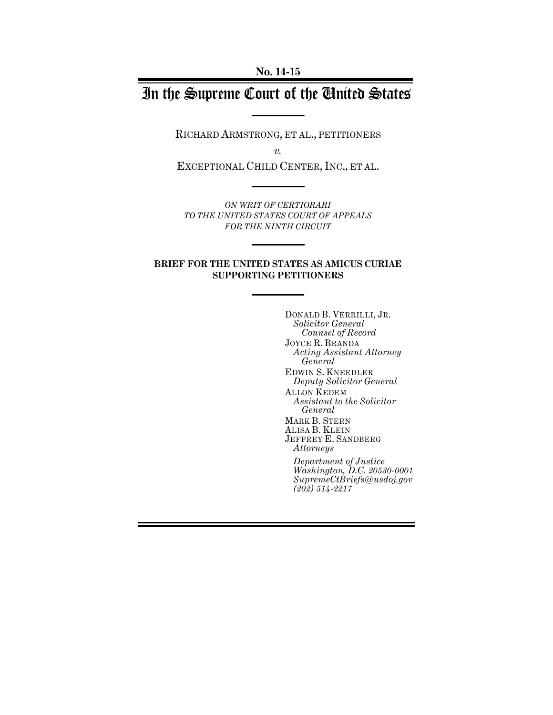# In the Supreme Court of the United States

RICHARD ARMSTRONG, ET AL., PETITIONERS

*v.*

EXCEPTIONAL CHILD CENTER, INC., ET AL.

*ON WRIT OF CERTIORARI TO THE UNITED STATES COURT OF APPEALS FOR THE NINTH CIRCUIT* 

#### **BRIEF FOR THE UNITED STATES AS AMICUS CURIAE SUPPORTING PETITIONERS**

DONALD B. VERRILLI, JR. *Solicitor General Counsel of Record* JOYCE R. BRANDA *Acting Assistant Attorney General* EDWIN S. KNEEDLER *Deputy Solicitor General* ALLON KEDEM *Assistant to the Solicitor General* MARK B. STERN ALISA B. KLEIN JEFFREY E. SANDBERG *Attorneys Department of Justice Washington, D.C. 20530-0001 SupremeCtBriefs@usdoj.gov*

*(202) 514-2217*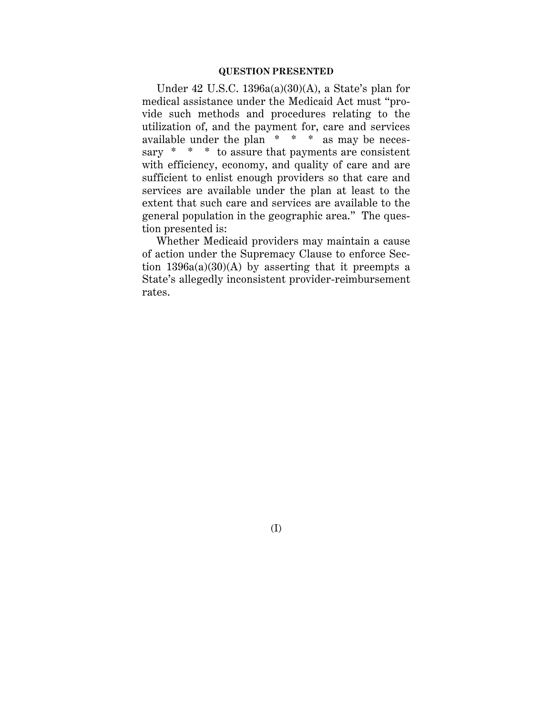#### **QUESTION PRESENTED**

Under 42 U.S.C. 1396a(a)(30)(A), a State's plan for medical assistance under the Medicaid Act must "provide such methods and procedures relating to the utilization of, and the payment for, care and services available under the plan  $* * * *$  as may be necessary \* \* \* to assure that payments are consistent with efficiency, economy, and quality of care and are sufficient to enlist enough providers so that care and services are available under the plan at least to the extent that such care and services are available to the general population in the geographic area." The question presented is:

Whether Medicaid providers may maintain a cause of action under the Supremacy Clause to enforce Section  $1396a(a)(30)(A)$  by asserting that it preempts a State's allegedly inconsistent provider-reimbursement rates.

(I)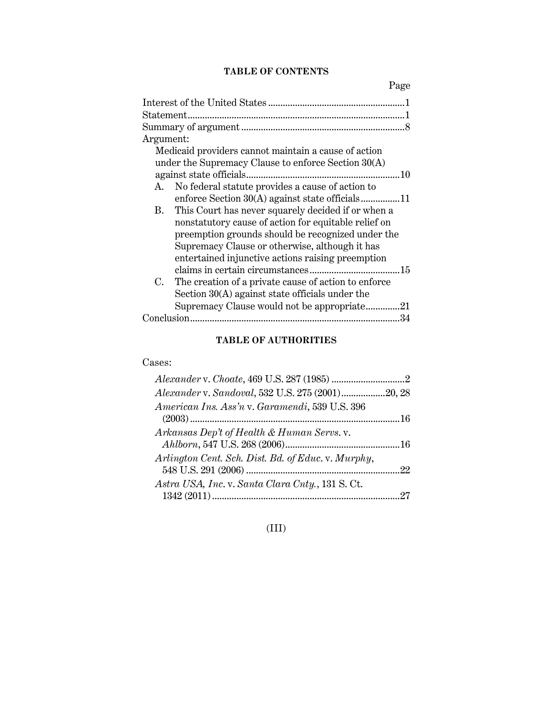# **TABLE OF CONTENTS**

Page

| Argument:                                                  |
|------------------------------------------------------------|
| Medicaid providers cannot maintain a cause of action       |
| under the Supremacy Clause to enforce Section 30(A)        |
| against state officials<br>-10                             |
| No federal statute provides a cause of action to<br>A.     |
|                                                            |
| This Court has never squarely decided if or when a<br>В.   |
| nonstatutory cause of action for equitable relief on       |
| preemption grounds should be recognized under the          |
| Supremacy Clause or otherwise, although it has             |
| entertained injunctive actions raising preemption          |
|                                                            |
| The creation of a private cause of action to enforce<br>C. |
| Section $30(A)$ against state officials under the          |
| Supremacy Clause would not be appropriate<br>.21           |
| 34                                                         |

# **TABLE OF AUTHORITIES**

## Cases:

| Alexander v. Sandoval, 532 U.S. 275 (2001)20, 28 |
|--------------------------------------------------|
|                                                  |
|                                                  |
|                                                  |
|                                                  |
|                                                  |
|                                                  |
|                                                  |
|                                                  |
|                                                  |

# (III)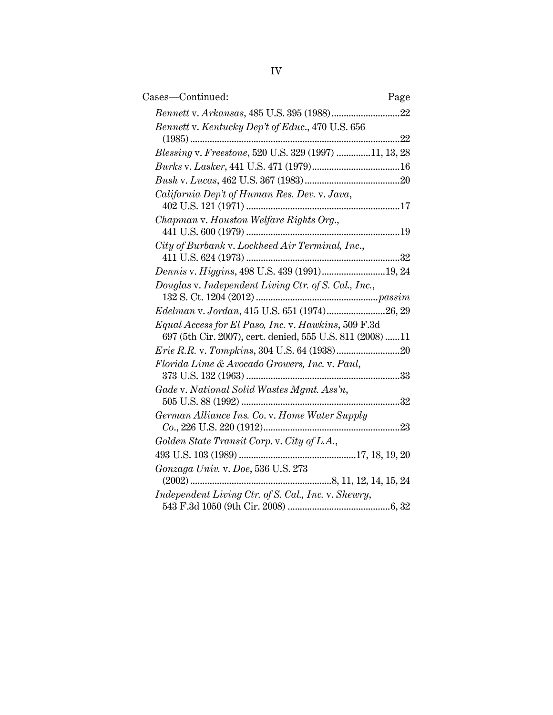| Cases-Continued:<br>Page                                                                                         |
|------------------------------------------------------------------------------------------------------------------|
|                                                                                                                  |
| Bennett v. Kentucky Dep't of Educ., 470 U.S. 656<br>22                                                           |
| Blessing v. Freestone, 520 U.S. 329 (1997) 11, 13, 28                                                            |
|                                                                                                                  |
|                                                                                                                  |
| California Dep't of Human Res. Dev. v. Java,                                                                     |
| Chapman v. Houston Welfare Rights Org.,                                                                          |
| City of Burbank v. Lockheed Air Terminal, Inc.,                                                                  |
| Dennis v. Higgins, 498 U.S. 439 (1991)19, 24                                                                     |
| Douglas v. Independent Living Ctr. of S. Cal., Inc.,                                                             |
| Edelman v. Jordan, 415 U.S. 651 (1974)26, 29                                                                     |
| Equal Access for El Paso, Inc. v. Hawkins, 509 F.3d<br>697 (5th Cir. 2007), cert. denied, 555 U.S. 811 (2008) 11 |
|                                                                                                                  |
| Florida Lime & Avocado Growers, Inc. v. Paul,                                                                    |
|                                                                                                                  |
| Gade v. National Solid Wastes Mgmt. Ass'n,<br>32                                                                 |
| German Alliance Ins. Co. v. Home Water Supply                                                                    |
| Golden State Transit Corp. v. City of L.A.,                                                                      |
|                                                                                                                  |
| Gonzaga Univ. v. Doe, 536 U.S. 273                                                                               |
| Independent Living Ctr. of S. Cal., Inc. v. Shewry,                                                              |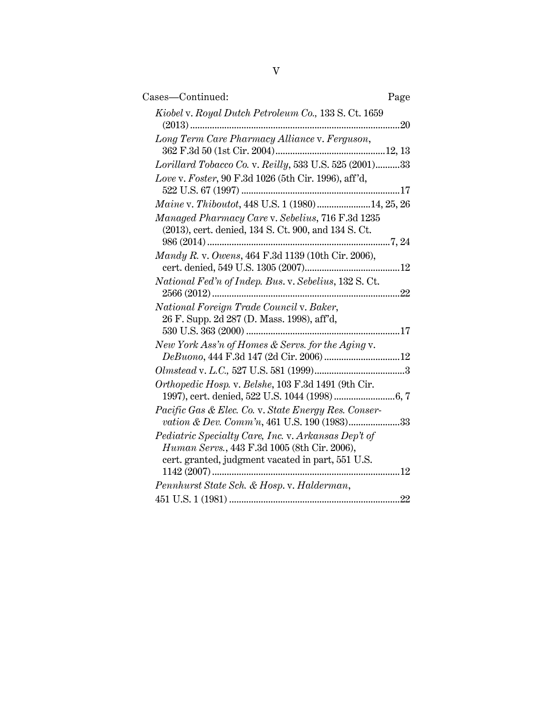| Cases-Continued:                                                                                                                                         | Page |
|----------------------------------------------------------------------------------------------------------------------------------------------------------|------|
| Kiobel v. Royal Dutch Petroleum Co., 133 S. Ct. 1659                                                                                                     |      |
| Long Term Care Pharmacy Alliance v. Ferguson,                                                                                                            |      |
| Lorillard Tobacco Co. v. Reilly, 533 U.S. 525 (2001)33                                                                                                   |      |
| Love v. Foster, 90 F.3d 1026 (5th Cir. 1996), aff'd,                                                                                                     |      |
| Maine v. Thiboutot, 448 U.S. 1 (1980)14, 25, 26                                                                                                          |      |
| Managed Pharmacy Care v. Sebelius, 716 F.3d 1235<br>(2013), cert. denied, 134 S. Ct. 900, and 134 S. Ct.                                                 |      |
|                                                                                                                                                          |      |
| Mandy R. v. Owens, 464 F.3d 1139 (10th Cir. 2006),                                                                                                       |      |
| National Fed'n of Indep. Bus. v. Sebelius, 132 S. Ct.                                                                                                    |      |
| National Foreign Trade Council v. Baker,<br>26 F. Supp. 2d 287 (D. Mass. 1998), aff'd,                                                                   |      |
|                                                                                                                                                          |      |
| New York Ass'n of Homes & Servs. for the Aging v.                                                                                                        |      |
|                                                                                                                                                          |      |
| Orthopedic Hosp. v. Belshe, 103 F.3d 1491 (9th Cir.                                                                                                      |      |
| Pacific Gas & Elec. Co. v. State Energy Res. Conser-<br>vation & Dev. Comm'n, 461 U.S. 190 (1983)33                                                      |      |
| Pediatric Specialty Care, Inc. v. Arkansas Dep't of<br>Human Servs., 443 F.3d 1005 (8th Cir. 2006),<br>cert. granted, judgment vacated in part, 551 U.S. |      |
| Pennhurst State Sch. & Hosp. v. Halderman,                                                                                                               |      |
|                                                                                                                                                          |      |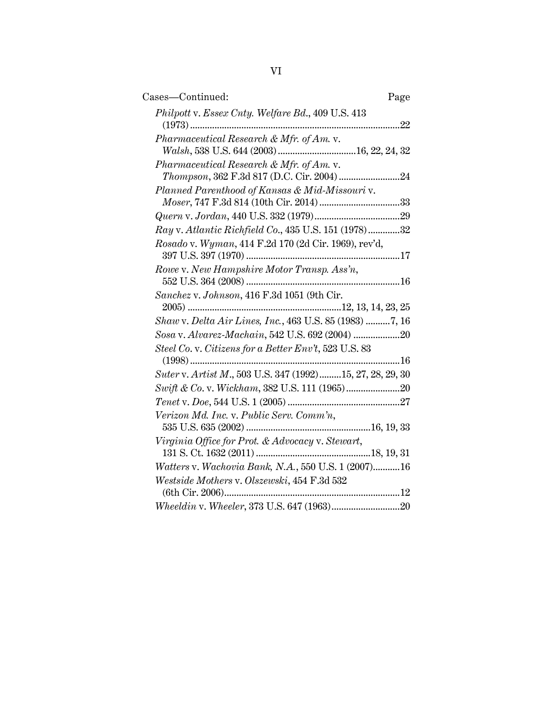| Cases-Continued:<br>Page                                     |
|--------------------------------------------------------------|
| Philpott v. Essex Cnty. Welfare Bd., 409 U.S. 413<br>22<br>. |
| Pharmaceutical Research & Mfr. of Am. v.                     |
|                                                              |
| Pharmaceutical Research & Mfr. of Am. v.                     |
|                                                              |
| Planned Parenthood of Kansas & Mid-Missouri v.               |
|                                                              |
|                                                              |
| Ray v. Atlantic Richfield Co., 435 U.S. 151 (1978)32         |
| Rosado v. Wyman, 414 F.2d 170 (2d Cir. 1969), rev'd,         |
| Rowe v. New Hampshire Motor Transp. Ass'n,                   |
| Sanchez v. Johnson, 416 F.3d 1051 (9th Cir.                  |
| Shaw v. Delta Air Lines, Inc., 463 U.S. 85 (1983) 7, 16      |
| Sosa v. Alvarez-Machain, 542 U.S. 692 (2004) 20              |
| Steel Co. v. Citizens for a Better Env't, 523 U.S. 83        |
|                                                              |
| Suter v. Artist M., 503 U.S. 347 (1992)15, 27, 28, 29, 30    |
|                                                              |
|                                                              |
| Verizon Md. Inc. v. Public Serv. Comm'n,                     |
| Virginia Office for Prot. & Advocacy v. Stewart,             |
| Watters v. Wachovia Bank, N.A., 550 U.S. 1 (2007) 16         |
| Westside Mothers v. Olszewski, 454 F.3d 532                  |
|                                                              |
|                                                              |
|                                                              |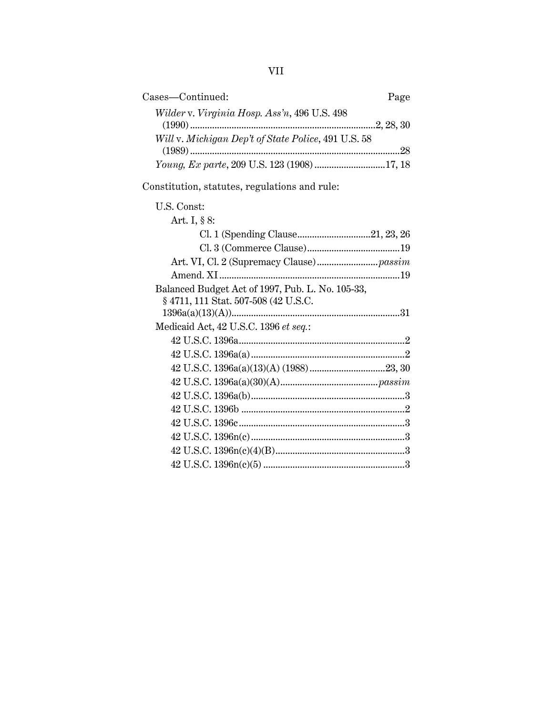| Cases-Continued:                                                                         | Page |
|------------------------------------------------------------------------------------------|------|
| Wilder v. Virginia Hosp. Ass'n, 496 U.S. 498                                             |      |
| Will v. Michigan Dep't of State Police, 491 U.S. 58                                      |      |
| Young, Ex parte, 209 U.S. 123 (1908) 17, 18                                              |      |
| Constitution, statutes, regulations and rule:                                            |      |
| U.S. Const:                                                                              |      |
| Art. I, § 8:                                                                             |      |
|                                                                                          |      |
|                                                                                          |      |
|                                                                                          |      |
|                                                                                          |      |
| Balanced Budget Act of 1997, Pub. L. No. 105-33,<br>§ 4711, 111 Stat. 507-508 (42 U.S.C. |      |
|                                                                                          |      |
| Medicaid Act, 42 U.S.C. 1396 et seq.:                                                    |      |
|                                                                                          |      |
|                                                                                          |      |
|                                                                                          |      |
|                                                                                          |      |
|                                                                                          |      |
|                                                                                          |      |

42 U.S.C. 1396c....................................................................3 42 U.S.C. 1396n(c)...............................................................3 42 U.S.C. 1396n(c)(4)(B).....................................................3 42 U.S.C. 1396n(c)(5) ..........................................................3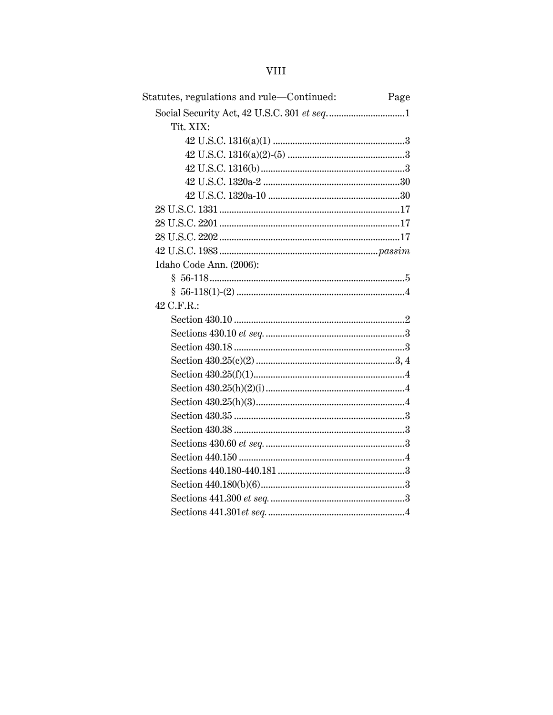| Statutes, regulations and rule-Continued: | Page |
|-------------------------------------------|------|
|                                           |      |
| Tit. XIX:                                 |      |
|                                           |      |
|                                           |      |
|                                           |      |
|                                           |      |
|                                           |      |
|                                           |      |
|                                           |      |
|                                           |      |
|                                           |      |
| Idaho Code Ann. (2006):                   |      |
|                                           |      |
|                                           |      |
| 42 C.F.R.:                                |      |
|                                           |      |
|                                           |      |
|                                           |      |
|                                           |      |
|                                           |      |
|                                           |      |
|                                           |      |
|                                           |      |
|                                           |      |
|                                           |      |
|                                           |      |
|                                           |      |
|                                           |      |
|                                           |      |
|                                           |      |
|                                           |      |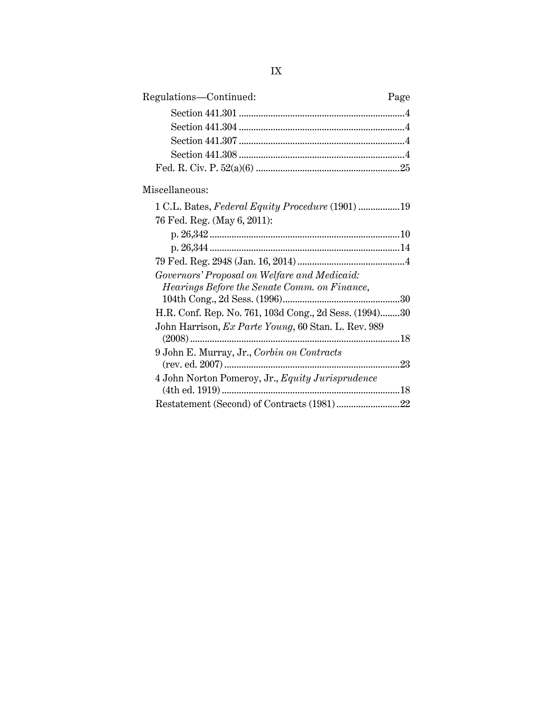| Regulations-Continued: | Page |
|------------------------|------|
|                        |      |
|                        |      |
|                        |      |
|                        |      |
|                        |      |
|                        |      |

# Miscellaneous:

| 1 C.L. Bates, Federal Equity Procedure (1901) 19       |         |
|--------------------------------------------------------|---------|
| 76 Fed. Reg. (May 6, 2011):                            |         |
|                                                        |         |
|                                                        |         |
|                                                        |         |
| Governors' Proposal on Welfare and Medicaid:           |         |
| Hearings Before the Senate Comm. on Finance,           |         |
|                                                        |         |
| H.R. Conf. Rep. No. 761, 103d Cong., 2d Sess. (1994)30 |         |
| John Harrison, Ex Parte Young, 60 Stan. L. Rev. 989    |         |
|                                                        | $.18\,$ |
| 9 John E. Murray, Jr., Corbin on Contracts             |         |
|                                                        | 23      |
| 4 John Norton Pomeroy, Jr., Equity Jurisprudence       |         |
|                                                        | 18      |
|                                                        | 22      |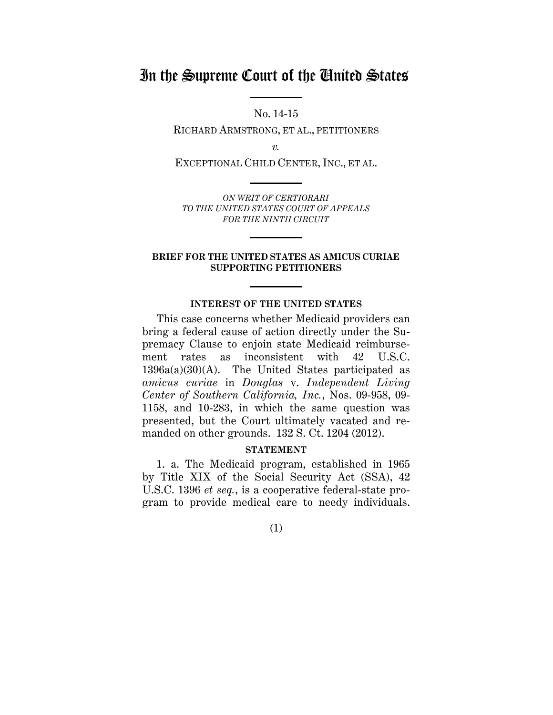# In the Supreme Court of the United States

No. 14-15

RICHARD ARMSTRONG, ET AL., PETITIONERS

*v.*

EXCEPTIONAL CHILD CENTER, INC., ET AL.

*ON WRIT OF CERTIORARI TO THE UNITED STATES COURT OF APPEALS FOR THE NINTH CIRCUIT* 

#### **BRIEF FOR THE UNITED STATES AS AMICUS CURIAE SUPPORTING PETITIONERS**

#### **INTEREST OF THE UNITED STATES**

This case concerns whether Medicaid providers can bring a federal cause of action directly under the Supremacy Clause to enjoin state Medicaid reimbursement rates as inconsistent with 42 U.S.C.  $1396a(a)(30)(A)$ . The United States participated as *amicus curiae* in *Douglas* v. *Independent Living Center of Southern California, Inc.*, Nos. 09-958, 09- 1158, and 10-283, in which the same question was presented, but the Court ultimately vacated and remanded on other grounds. 132 S. Ct. 1204 (2012).

#### **STATEMENT**

1. a. The Medicaid program, established in 1965 by Title XIX of the Social Security Act (SSA), 42 U.S.C. 1396 *et seq.*, is a cooperative federal-state program to provide medical care to needy individuals.

(1)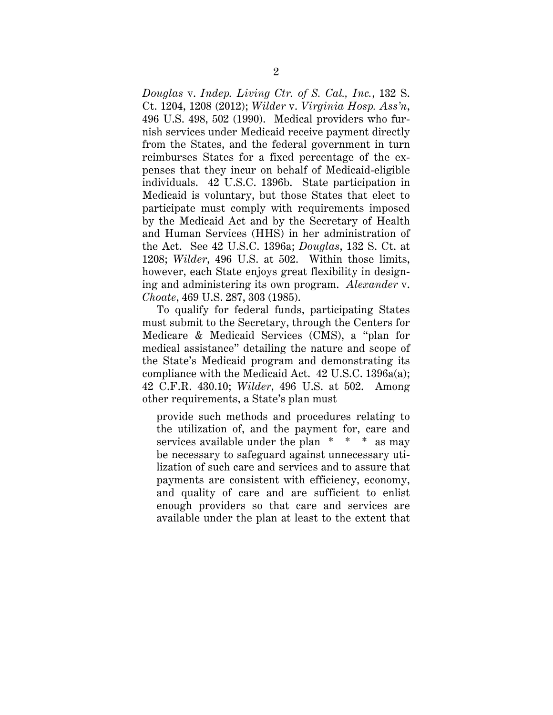*Douglas* v. *Indep. Living Ctr. of S. Cal., Inc.*, 132 S. Ct. 1204, 1208 (2012); *Wilder* v. *Virginia Hosp. Ass'n*, 496 U.S. 498, 502 (1990). Medical providers who furnish services under Medicaid receive payment directly from the States, and the federal government in turn reimburses States for a fixed percentage of the expenses that they incur on behalf of Medicaid-eligible individuals. 42 U.S.C. 1396b. State participation in Medicaid is voluntary, but those States that elect to participate must comply with requirements imposed by the Medicaid Act and by the Secretary of Health and Human Services (HHS) in her administration of the Act. See 42 U.S.C. 1396a; *Douglas*, 132 S. Ct. at 1208; *Wilder*, 496 U.S. at 502. Within those limits, however, each State enjoys great flexibility in designing and administering its own program. *Alexander* v. *Choate*, 469 U.S. 287, 303 (1985).

To qualify for federal funds, participating States must submit to the Secretary, through the Centers for Medicare & Medicaid Services (CMS), a "plan for medical assistance" detailing the nature and scope of the State's Medicaid program and demonstrating its compliance with the Medicaid Act. 42 U.S.C. 1396a(a); 42 C.F.R. 430.10; *Wilder*, 496 U.S. at 502. Among other requirements, a State's plan must

provide such methods and procedures relating to the utilization of, and the payment for, care and services available under the plan \* \* \* as may be necessary to safeguard against unnecessary utilization of such care and services and to assure that payments are consistent with efficiency, economy, and quality of care and are sufficient to enlist enough providers so that care and services are available under the plan at least to the extent that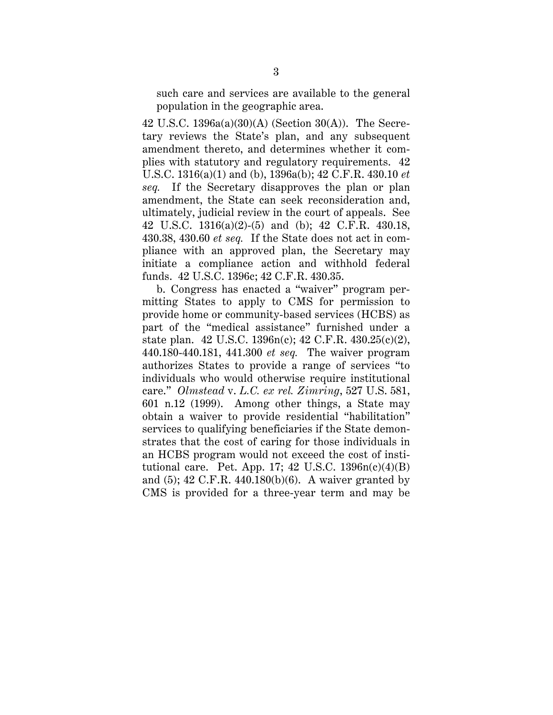such care and services are available to the general population in the geographic area.

42 U.S.C. 1396a(a)(30)(A) (Section 30(A)). The Secretary reviews the State's plan, and any subsequent amendment thereto, and determines whether it complies with statutory and regulatory requirements. 42 U.S.C. 1316(a)(1) and (b), 1396a(b); 42 C.F.R. 430.10 *et seq.* If the Secretary disapproves the plan or plan amendment, the State can seek reconsideration and, ultimately, judicial review in the court of appeals. See 42 U.S.C. 1316(a)(2)-(5) and (b); 42 C.F.R. 430.18, 430.38, 430.60 *et seq.* If the State does not act in compliance with an approved plan, the Secretary may initiate a compliance action and withhold federal funds. 42 U.S.C. 1396c; 42 C.F.R. 430.35.

b. Congress has enacted a "waiver" program permitting States to apply to CMS for permission to provide home or community-based services (HCBS) as part of the "medical assistance" furnished under a state plan. 42 U.S.C. 1396n(c); 42 C.F.R. 430.25(c)(2), 440.180-440.181, 441.300 *et seq.* The waiver program authorizes States to provide a range of services "to individuals who would otherwise require institutional care." *Olmstead* v. *L.C. ex rel. Zimring*, 527 U.S. 581, 601 n.12 (1999). Among other things, a State may obtain a waiver to provide residential "habilitation" services to qualifying beneficiaries if the State demonstrates that the cost of caring for those individuals in an HCBS program would not exceed the cost of institutional care. Pet. App. 17;  $42 \text{ U.S.C. } 1396n(c)(4)(B)$ and (5); 42 C.F.R. 440.180(b)(6). A waiver granted by CMS is provided for a three-year term and may be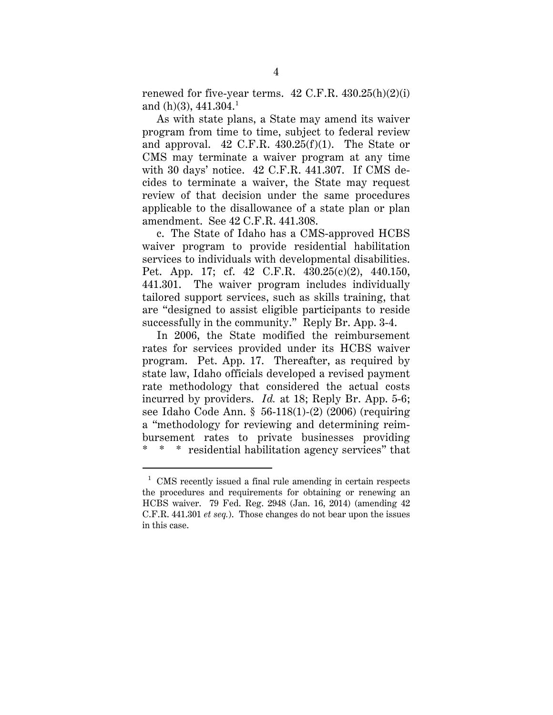renewed for five-year terms.  $42$  C.F.R.  $430.25(h)(2)(i)$ and (h)(3),  $441.304.<sup>1</sup>$  $441.304.<sup>1</sup>$  $441.304.<sup>1</sup>$ 

As with state plans, a State may amend its waiver program from time to time, subject to federal review and approval. 42 C.F.R. 430.25(f)(1). The State or CMS may terminate a waiver program at any time with 30 days' notice. 42 C.F.R. 441.307. If CMS decides to terminate a waiver, the State may request review of that decision under the same procedures applicable to the disallowance of a state plan or plan amendment. See 42 C.F.R. 441.308.

c. The State of Idaho has a CMS-approved HCBS waiver program to provide residential habilitation services to individuals with developmental disabilities. Pet. App. 17; cf. 42 C.F.R. 430.25(c)(2), 440.150, 441.301. The waiver program includes individually tailored support services, such as skills training, that are "designed to assist eligible participants to reside successfully in the community." Reply Br. App. 3-4.

In 2006, the State modified the reimbursement rates for services provided under its HCBS waiver program. Pet. App. 17. Thereafter, as required by state law, Idaho officials developed a revised payment rate methodology that considered the actual costs incurred by providers. *Id.* at 18; Reply Br. App. 5-6; see Idaho Code Ann. § 56-118(1)-(2) (2006) (requiring a "methodology for reviewing and determining reimbursement rates to private businesses providing \* \* \* residential habilitation agency services" that

<span id="page-12-0"></span> $1$  CMS recently issued a final rule amending in certain respects the procedures and requirements for obtaining or renewing an HCBS waiver. 79 Fed. Reg. 2948 (Jan. 16, 2014) (amending 42 C.F.R. 441.301 *et seq.*). Those changes do not bear upon the issues in this case.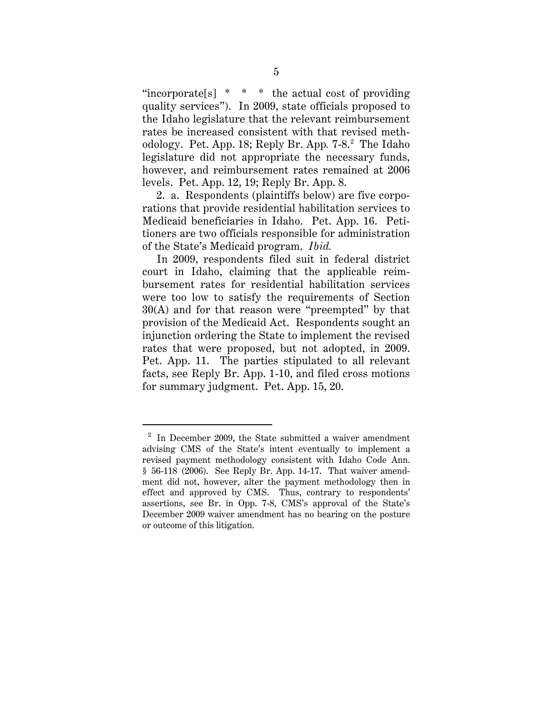"incorporate  $[s]$ <sup>\*</sup> \* \* the actual cost of providing quality services"). In 2009, state officials proposed to the Idaho legislature that the relevant reimbursement rates be increased consistent with that revised meth-odology. Pet. App. 18; Reply Br. App. 7-8.<sup>[2](#page-13-0)</sup> The Idaho legislature did not appropriate the necessary funds, however, and reimbursement rates remained at 2006 levels. Pet. App. 12, 19; Reply Br. App. 8.

2. a. Respondents (plaintiffs below) are five corporations that provide residential habilitation services to Medicaid beneficiaries in Idaho. Pet. App. 16. Petitioners are two officials responsible for administration of the State's Medicaid program. *Ibid.*

In 2009, respondents filed suit in federal district court in Idaho, claiming that the applicable reimbursement rates for residential habilitation services were too low to satisfy the requirements of Section 30(A) and for that reason were "preempted" by that provision of the Medicaid Act. Respondents sought an injunction ordering the State to implement the revised rates that were proposed, but not adopted, in 2009. Pet. App. 11. The parties stipulated to all relevant facts, see Reply Br. App. 1-10, and filed cross motions for summary judgment. Pet. App. 15, 20.

<span id="page-13-0"></span> $2^2$  In December 2009, the State submitted a waiver amendment advising CMS of the State's intent eventually to implement a revised payment methodology consistent with Idaho Code Ann. § 56-118 (2006). See Reply Br. App. 14-17. That waiver amendment did not, however, alter the payment methodology then in effect and approved by CMS. Thus, contrary to respondents' assertions, see Br. in Opp. 7-8, CMS's approval of the State's December 2009 waiver amendment has no bearing on the posture or outcome of this litigation.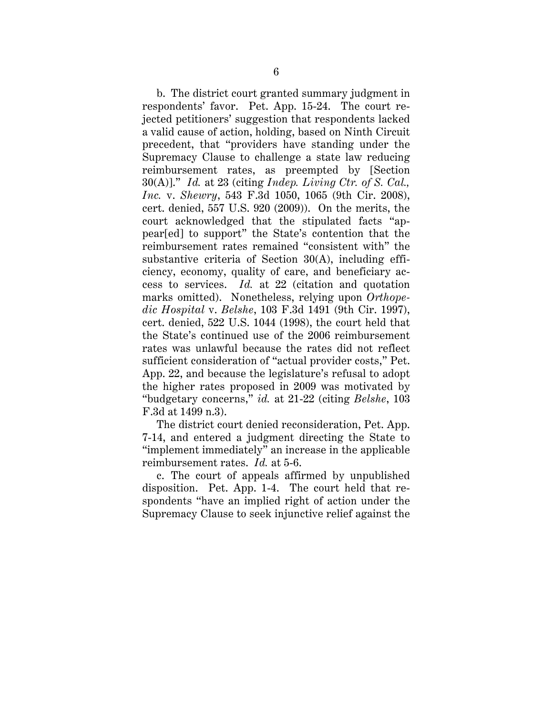b. The district court granted summary judgment in respondents' favor. Pet. App. 15-24. The court rejected petitioners' suggestion that respondents lacked a valid cause of action, holding, based on Ninth Circuit precedent, that "providers have standing under the Supremacy Clause to challenge a state law reducing reimbursement rates, as preempted by [Section 30(A)]." *Id.* at 23 (citing *Indep. Living Ctr. of S. Cal., Inc.* v. *Shewry*, 543 F.3d 1050, 1065 (9th Cir. 2008), cert. denied, 557 U.S. 920 (2009)). On the merits, the court acknowledged that the stipulated facts "appear[ed] to support" the State's contention that the reimbursement rates remained "consistent with" the substantive criteria of Section 30(A), including efficiency, economy, quality of care, and beneficiary access to services. *Id.* at 22 (citation and quotation marks omitted). Nonetheless, relying upon *Orthopedic Hospital* v. *Belshe*, 103 F.3d 1491 (9th Cir. 1997), cert. denied, 522 U.S. 1044 (1998), the court held that the State's continued use of the 2006 reimbursement rates was unlawful because the rates did not reflect sufficient consideration of "actual provider costs," Pet. App. 22, and because the legislature's refusal to adopt the higher rates proposed in 2009 was motivated by "budgetary concerns," *id.* at 21-22 (citing *Belshe*, 103 F.3d at 1499 n.3).

The district court denied reconsideration, Pet. App. 7-14, and entered a judgment directing the State to "implement immediately" an increase in the applicable reimbursement rates. *Id.* at 5-6.

c. The court of appeals affirmed by unpublished disposition. Pet. App. 1-4. The court held that respondents "have an implied right of action under the Supremacy Clause to seek injunctive relief against the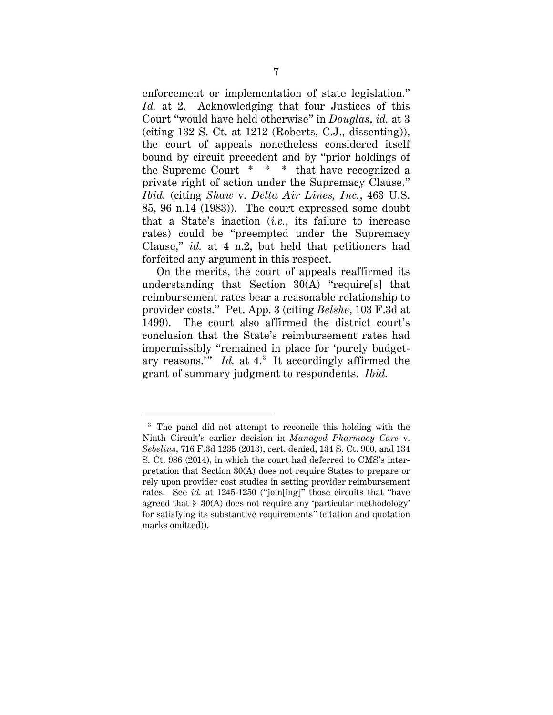enforcement or implementation of state legislation." *Id.* at 2. Acknowledging that four Justices of this Court "would have held otherwise" in *Douglas*, *id.* at 3 (citing  $132$  S. Ct. at  $1212$  (Roberts, C.J., dissenting)), the court of appeals nonetheless considered itself bound by circuit precedent and by "prior holdings of the Supreme Court \* \* \* that have recognized a private right of action under the Supremacy Clause." *Ibid.* (citing *Shaw* v. *Delta Air Lines, Inc.*, 463 U.S. 85, 96 n.14 (1983)). The court expressed some doubt that a State's inaction (*i.e.*, its failure to increase rates) could be "preempted under the Supremacy Clause," *id.* at 4 n.2, but held that petitioners had forfeited any argument in this respect.

On the merits, the court of appeals reaffirmed its understanding that Section 30(A) "require[s] that reimbursement rates bear a reasonable relationship to provider costs." Pet. App. 3 (citing *Belshe*, 103 F.3d at 1499). The court also affirmed the district court's conclusion that the State's reimbursement rates had impermissibly "remained in place for 'purely budgetary reasons." *Id.* at 4.<sup>[3](#page-15-0)</sup> It accordingly affirmed the grant of summary judgment to respondents. *Ibid.*

<span id="page-15-0"></span><sup>&</sup>lt;sup>3</sup> The panel did not attempt to reconcile this holding with the Ninth Circuit's earlier decision in *Managed Pharmacy Care* v. *Sebelius*, 716 F.3d 1235 (2013), cert. denied, 134 S. Ct. 900, and 134 S. Ct. 986 (2014), in which the court had deferred to CMS's interpretation that Section 30(A) does not require States to prepare or rely upon provider cost studies in setting provider reimbursement rates. See *id.* at 1245-1250 ("join[ing]" those circuits that "have agreed that § 30(A) does not require any 'particular methodology' for satisfying its substantive requirements" (citation and quotation marks omitted)).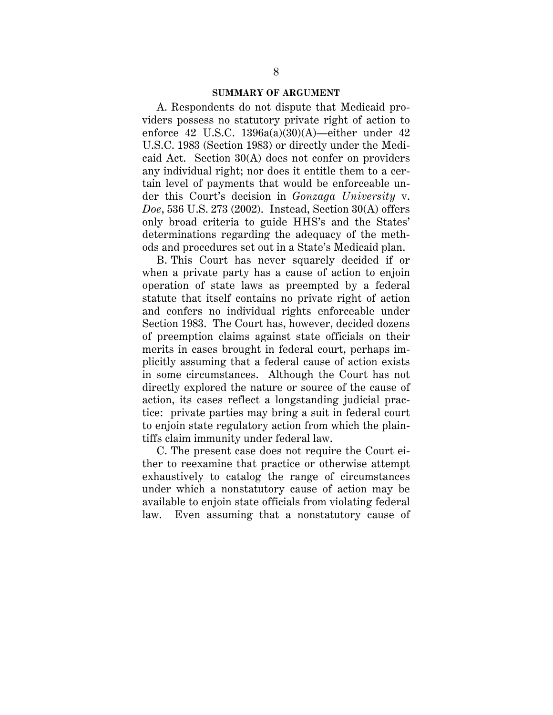#### **SUMMARY OF ARGUMENT**

A. Respondents do not dispute that Medicaid providers possess no statutory private right of action to enforce 42 U.S.C.  $1396a(a)(30)(A)$ —either under 42 U.S.C. 1983 (Section 1983) or directly under the Medicaid Act. Section 30(A) does not confer on providers any individual right; nor does it entitle them to a certain level of payments that would be enforceable under this Court's decision in *Gonzaga University* v. *Doe*, 536 U.S. 273 (2002). Instead, Section 30(A) offers only broad criteria to guide HHS's and the States' determinations regarding the adequacy of the methods and procedures set out in a State's Medicaid plan.

B. This Court has never squarely decided if or when a private party has a cause of action to enjoin operation of state laws as preempted by a federal statute that itself contains no private right of action and confers no individual rights enforceable under Section 1983. The Court has, however, decided dozens of preemption claims against state officials on their merits in cases brought in federal court, perhaps implicitly assuming that a federal cause of action exists in some circumstances. Although the Court has not directly explored the nature or source of the cause of action, its cases reflect a longstanding judicial practice: private parties may bring a suit in federal court to enjoin state regulatory action from which the plaintiffs claim immunity under federal law.

C. The present case does not require the Court either to reexamine that practice or otherwise attempt exhaustively to catalog the range of circumstances under which a nonstatutory cause of action may be available to enjoin state officials from violating federal law. Even assuming that a nonstatutory cause of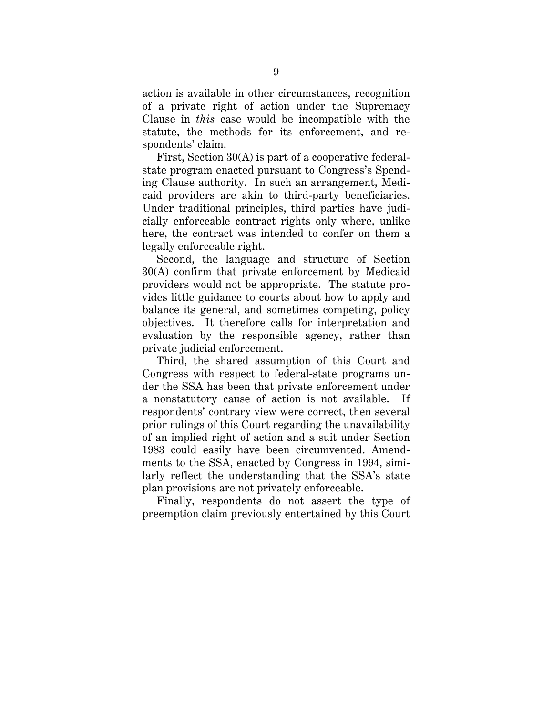action is available in other circumstances, recognition of a private right of action under the Supremacy Clause in *this* case would be incompatible with the statute, the methods for its enforcement, and respondents' claim.

First, Section 30(A) is part of a cooperative federalstate program enacted pursuant to Congress's Spending Clause authority. In such an arrangement, Medicaid providers are akin to third-party beneficiaries. Under traditional principles, third parties have judicially enforceable contract rights only where, unlike here, the contract was intended to confer on them a legally enforceable right.

Second, the language and structure of Section 30(A) confirm that private enforcement by Medicaid providers would not be appropriate. The statute provides little guidance to courts about how to apply and balance its general, and sometimes competing, policy objectives. It therefore calls for interpretation and evaluation by the responsible agency, rather than private judicial enforcement.

Third, the shared assumption of this Court and Congress with respect to federal-state programs under the SSA has been that private enforcement under a nonstatutory cause of action is not available. If respondents' contrary view were correct, then several prior rulings of this Court regarding the unavailability of an implied right of action and a suit under Section 1983 could easily have been circumvented. Amendments to the SSA, enacted by Congress in 1994, similarly reflect the understanding that the SSA's state plan provisions are not privately enforceable.

Finally, respondents do not assert the type of preemption claim previously entertained by this Court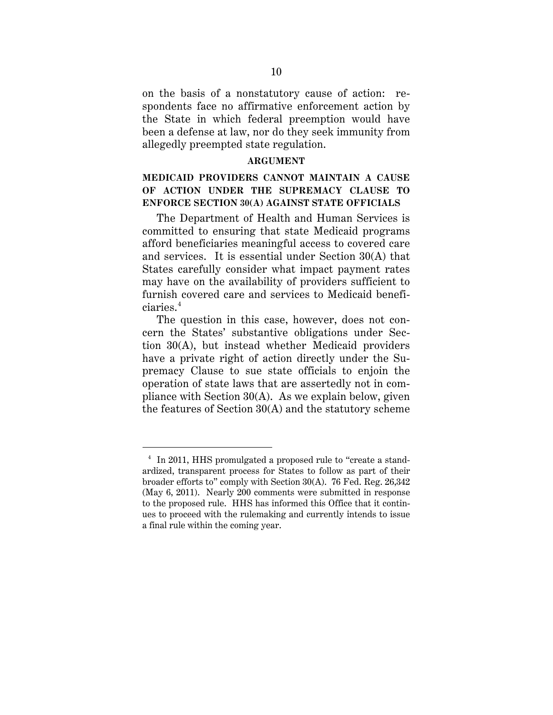on the basis of a nonstatutory cause of action: respondents face no affirmative enforcement action by the State in which federal preemption would have been a defense at law, nor do they seek immunity from allegedly preempted state regulation.

#### **ARGUMENT**

### **MEDICAID PROVIDERS CANNOT MAINTAIN A CAUSE OF ACTION UNDER THE SUPREMACY CLAUSE TO ENFORCE SECTION 30(A) AGAINST STATE OFFICIALS**

The Department of Health and Human Services is committed to ensuring that state Medicaid programs afford beneficiaries meaningful access to covered care and services. It is essential under Section 30(A) that States carefully consider what impact payment rates may have on the availability of providers sufficient to furnish covered care and services to Medicaid benefi- $ciaries.<sup>4</sup>$  $ciaries.<sup>4</sup>$  $ciaries.<sup>4</sup>$ 

The question in this case, however, does not concern the States' substantive obligations under Section 30(A), but instead whether Medicaid providers have a private right of action directly under the Supremacy Clause to sue state officials to enjoin the operation of state laws that are assertedly not in compliance with Section 30(A). As we explain below, given the features of Section 30(A) and the statutory scheme

<span id="page-18-0"></span><sup>&</sup>lt;sup>4</sup> In 2011, HHS promulgated a proposed rule to "create a standardized, transparent process for States to follow as part of their broader efforts to" comply with Section 30(A). 76 Fed. Reg. 26,342 (May 6, 2011). Nearly 200 comments were submitted in response to the proposed rule. HHS has informed this Office that it continues to proceed with the rulemaking and currently intends to issue a final rule within the coming year.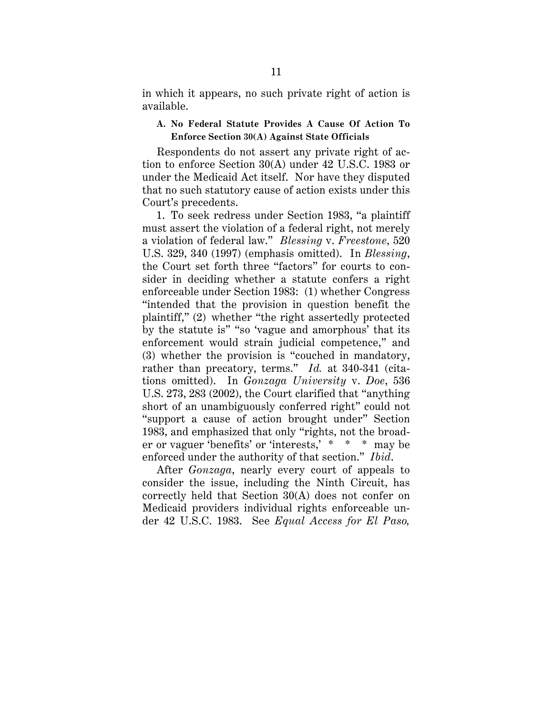in which it appears, no such private right of action is available.

### **A. No Federal Statute Provides A Cause Of Action To Enforce Section 30(A) Against State Officials**

Respondents do not assert any private right of action to enforce Section 30(A) under 42 U.S.C. 1983 or under the Medicaid Act itself. Nor have they disputed that no such statutory cause of action exists under this Court's precedents.

1. To seek redress under Section 1983, "a plaintiff must assert the violation of a federal right, not merely a violation of federal law." *Blessing* v. *Freestone*, 520 U.S. 329, 340 (1997) (emphasis omitted). In *Blessing*, the Court set forth three "factors" for courts to consider in deciding whether a statute confers a right enforceable under Section 1983: (1) whether Congress "intended that the provision in question benefit the plaintiff," (2) whether "the right assertedly protected by the statute is" "so 'vague and amorphous' that its enforcement would strain judicial competence," and (3) whether the provision is "couched in mandatory, rather than precatory, terms." *Id.* at 340-341 (citations omitted). In *Gonzaga University* v. *Doe*, 536 U.S. 273, 283 (2002), the Court clarified that "anything short of an unambiguously conferred right" could not "support a cause of action brought under" Section 1983, and emphasized that only "rights, not the broader or vaguer 'benefits' or 'interests,' \* \* \* may be enforced under the authority of that section." *Ibid*.

After *Gonzaga*, nearly every court of appeals to consider the issue, including the Ninth Circuit, has correctly held that Section 30(A) does not confer on Medicaid providers individual rights enforceable under 42 U.S.C. 1983. See *Equal Access for El Paso,*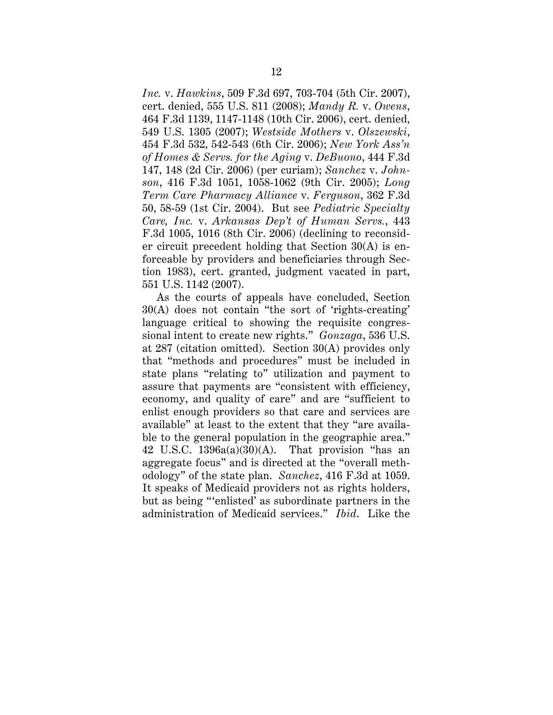*Inc.* v. *Hawkins*, 509 F.3d 697, 703-704 (5th Cir. 2007), cert. denied, 555 U.S. 811 (2008); *Mandy R.* v. *Owens*, 464 F.3d 1139, 1147-1148 (10th Cir. 2006), cert. denied, 549 U.S. 1305 (2007); *Westside Mothers* v. *Olszewski*, 454 F.3d 532, 542-543 (6th Cir. 2006); *New York Ass'n of Homes & Servs. for the Aging* v. *DeBuono*, 444 F.3d 147, 148 (2d Cir. 2006) (per curiam); *Sanchez* v. *Johnson*, 416 F.3d 1051, 1058-1062 (9th Cir. 2005); *Long Term Care Pharmacy Alliance* v. *Ferguson*, 362 F.3d 50, 58-59 (1st Cir. 2004). But see *Pediatric Specialty Care, Inc.* v. *Arkansas Dep't of Human Servs.*, 443 F.3d 1005, 1016 (8th Cir. 2006) (declining to reconsider circuit precedent holding that Section 30(A) is enforceable by providers and beneficiaries through Section 1983), cert. granted, judgment vacated in part, 551 U.S. 1142 (2007).

As the courts of appeals have concluded, Section 30(A) does not contain "the sort of 'rights-creating' language critical to showing the requisite congressional intent to create new rights." *Gonzaga*, 536 U.S. at 287 (citation omitted). Section 30(A) provides only that "methods and procedures" must be included in state plans "relating to" utilization and payment to assure that payments are "consistent with efficiency, economy, and quality of care" and are "sufficient to enlist enough providers so that care and services are available" at least to the extent that they "are available to the general population in the geographic area." 42 U.S.C.  $1396a(a)(30)(A)$ . That provision "has an aggregate focus" and is directed at the "overall methodology" of the state plan. *Sanchez*, 416 F.3d at 1059. It speaks of Medicaid providers not as rights holders, but as being "'enlisted' as subordinate partners in the administration of Medicaid services." *Ibid*. Like the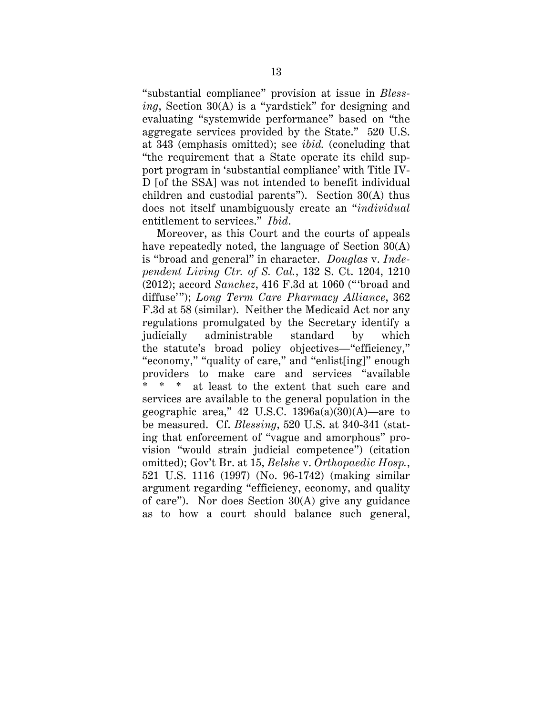"substantial compliance" provision at issue in *Blessing*, Section 30(A) is a "yardstick" for designing and evaluating "systemwide performance" based on "the aggregate services provided by the State." 520 U.S. at 343 (emphasis omitted); see *ibid.* (concluding that "the requirement that a State operate its child support program in 'substantial compliance' with Title IV-D [of the SSA] was not intended to benefit individual children and custodial parents"). Section 30(A) thus does not itself unambiguously create an "*individual* entitlement to services." *Ibid*.

Moreover, as this Court and the courts of appeals have repeatedly noted, the language of Section 30(A) is "broad and general" in character. *Douglas* v. *Independent Living Ctr. of S. Cal.*, 132 S. Ct. 1204, 1210 (2012); accord *Sanchez*, 416 F.3d at 1060 ("'broad and diffuse'"); *Long Term Care Pharmacy Alliance*, 362 F.3d at 58 (similar). Neither the Medicaid Act nor any regulations promulgated by the Secretary identify a judicially administrable standard by which the statute's broad policy objectives—"efficiency," "economy," "quality of care," and "enlist[ing]" enough providers to make care and services "available at least to the extent that such care and services are available to the general population in the geographic area," 42 U.S.C.  $1396a(a)(30)(A)$ —are to be measured. Cf. *Blessing*, 520 U.S. at 340-341 (stating that enforcement of "vague and amorphous" provision "would strain judicial competence") (citation omitted); Gov't Br. at 15, *Belshe* v. *Orthopaedic Hosp.*, 521 U.S. 1116 (1997) (No. 96-1742) (making similar argument regarding "efficiency, economy, and quality of care"). Nor does Section 30(A) give any guidance as to how a court should balance such general,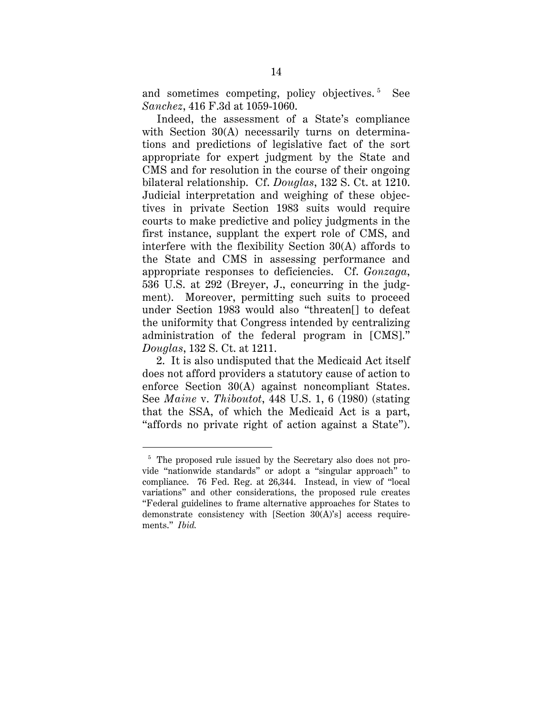and sometimes competing, policy objectives.<sup>[5](#page-22-0)</sup> See *Sanchez*, 416 F.3d at 1059-1060.

Indeed, the assessment of a State's compliance with Section 30(A) necessarily turns on determinations and predictions of legislative fact of the sort appropriate for expert judgment by the State and CMS and for resolution in the course of their ongoing bilateral relationship. Cf. *Douglas*, 132 S. Ct. at 1210. Judicial interpretation and weighing of these objectives in private Section 1983 suits would require courts to make predictive and policy judgments in the first instance, supplant the expert role of CMS, and interfere with the flexibility Section 30(A) affords to the State and CMS in assessing performance and appropriate responses to deficiencies. Cf. *Gonzaga*, 536 U.S. at 292 (Breyer, J., concurring in the judgment). Moreover, permitting such suits to proceed under Section 1983 would also "threaten[] to defeat the uniformity that Congress intended by centralizing administration of the federal program in [CMS]." *Douglas*, 132 S. Ct. at 1211.

2. It is also undisputed that the Medicaid Act itself does not afford providers a statutory cause of action to enforce Section 30(A) against noncompliant States. See *Maine* v. *Thiboutot*, 448 U.S. 1, 6 (1980) (stating that the SSA, of which the Medicaid Act is a part, "affords no private right of action against a State").

<span id="page-22-0"></span><sup>&</sup>lt;sup>5</sup> The proposed rule issued by the Secretary also does not provide "nationwide standards" or adopt a "singular approach" to compliance. 76 Fed. Reg. at 26,344. Instead, in view of "local variations" and other considerations, the proposed rule creates "Federal guidelines to frame alternative approaches for States to demonstrate consistency with [Section 30(A)'s] access requirements." *Ibid.*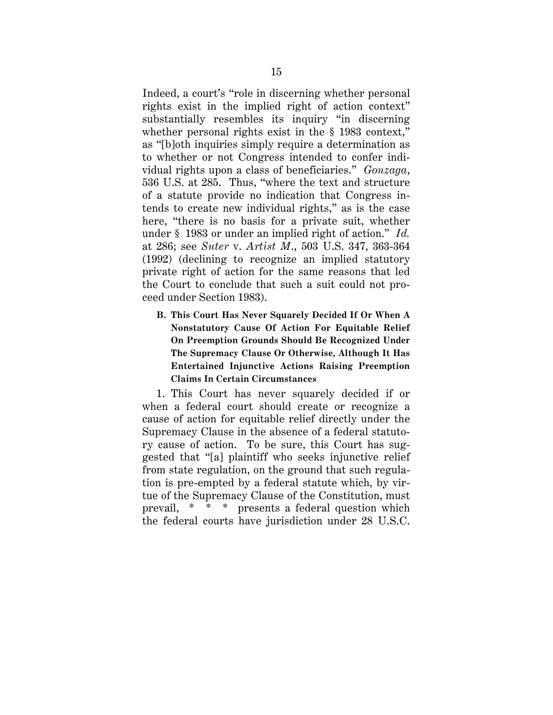Indeed, a court's "role in discerning whether personal rights exist in the implied right of action context" substantially resembles its inquiry "in discerning whether personal rights exist in the § 1983 context," as "[b]oth inquiries simply require a determination as to whether or not Congress intended to confer individual rights upon a class of beneficiaries." *Gonzaga*, 536 U.S. at 285. Thus, "where the text and structure of a statute provide no indication that Congress intends to create new individual rights," as is the case here, "there is no basis for a private suit, whether under § 1983 or under an implied right of action." *Id.* at 286; see *Suter* v. *Artist M*., 503 U.S. 347, 363-364 (1992) (declining to recognize an implied statutory private right of action for the same reasons that led the Court to conclude that such a suit could not proceed under Section 1983).

**B. This Court Has Never Squarely Decided If Or When A Nonstatutory Cause Of Action For Equitable Relief On Preemption Grounds Should Be Recognized Under The Supremacy Clause Or Otherwise, Although It Has Entertained Injunctive Actions Raising Preemption Claims In Certain Circumstances**

1. This Court has never squarely decided if or when a federal court should create or recognize a cause of action for equitable relief directly under the Supremacy Clause in the absence of a federal statutory cause of action. To be sure, this Court has suggested that "[a] plaintiff who seeks injunctive relief from state regulation, on the ground that such regulation is pre-empted by a federal statute which, by virtue of the Supremacy Clause of the Constitution, must prevail, \* \* \* presents a federal question which the federal courts have jurisdiction under 28 U.S.C.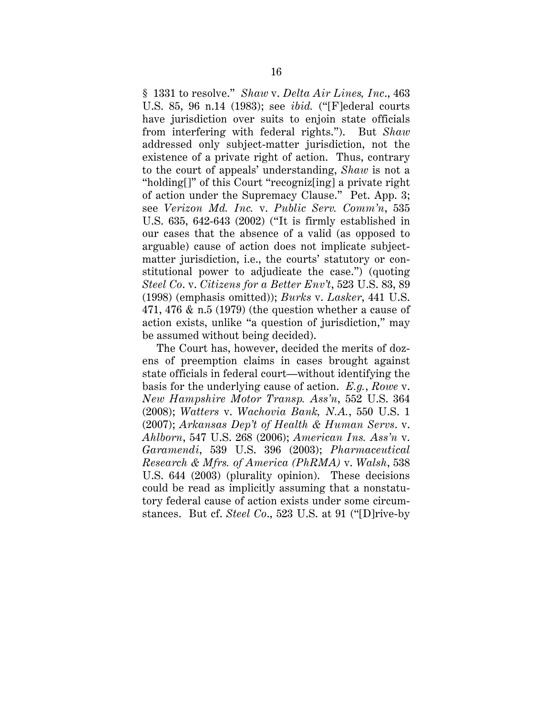§ 1331 to resolve." *Shaw* v. *Delta Air Lines, Inc*., 463 U.S. 85, 96 n.14 (1983); see *ibid.* ("[F]ederal courts have jurisdiction over suits to enjoin state officials from interfering with federal rights."). But *Shaw* addressed only subject-matter jurisdiction, not the existence of a private right of action. Thus, contrary to the court of appeals' understanding, *Shaw* is not a "holding[]" of this Court "recogniz[ing] a private right of action under the Supremacy Clause." Pet. App. 3; see *Verizon Md. Inc.* v. *Public Serv. Comm'n*, 535 U.S. 635, 642-643 (2002) ("It is firmly established in our cases that the absence of a valid (as opposed to arguable) cause of action does not implicate subjectmatter jurisdiction, i.e., the courts' statutory or constitutional power to adjudicate the case.") (quoting *Steel Co*. v. *Citizens for a Better Env't*, 523 U.S. 83, 89 (1998) (emphasis omitted)); *Burks* v. *Lasker*, 441 U.S. 471, 476 & n.5 (1979) (the question whether a cause of action exists, unlike "a question of jurisdiction," may be assumed without being decided).

The Court has, however, decided the merits of dozens of preemption claims in cases brought against state officials in federal court—without identifying the basis for the underlying cause of action. *E.g.*, *Rowe* v. *New Hampshire Motor Transp. Ass'n*, 552 U.S. 364 (2008); *Watters* v. *Wachovia Bank, N.A.*, 550 U.S. 1 (2007); *Arkansas Dep't of Health & Human Servs*. v. *Ahlborn*, 547 U.S. 268 (2006); *American Ins. Ass'n* v. *Garamendi*, 539 U.S. 396 (2003); *Pharmaceutical Research & Mfrs. of America (PhRMA)* v. *Walsh*, 538 U.S. 644 (2003) (plurality opinion). These decisions could be read as implicitly assuming that a nonstatutory federal cause of action exists under some circumstances. But cf. *Steel Co*., 523 U.S. at 91 ("[D]rive-by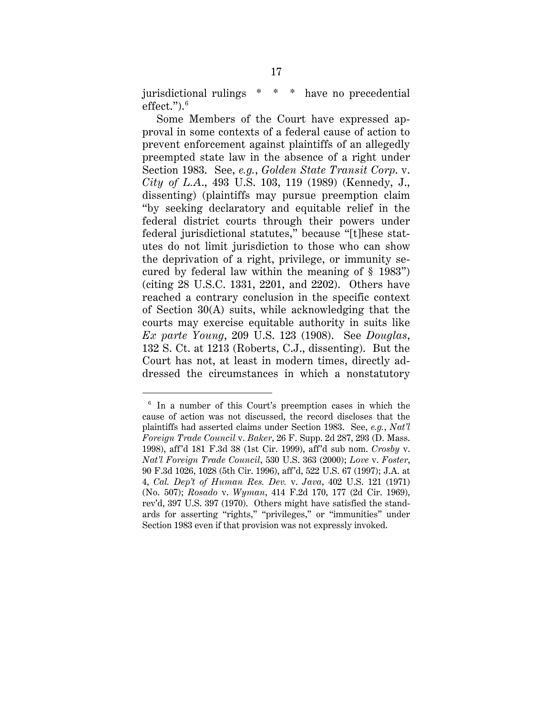jurisdictional rulings \* \* \* have no precedential effect."). [6](#page-25-0)

Some Members of the Court have expressed approval in some contexts of a federal cause of action to prevent enforcement against plaintiffs of an allegedly preempted state law in the absence of a right under Section 1983. See, *e.g.*, *Golden State Transit Corp*. v. *City of L.A*., 493 U.S. 103, 119 (1989) (Kennedy, J., dissenting) (plaintiffs may pursue preemption claim "by seeking declaratory and equitable relief in the federal district courts through their powers under federal jurisdictional statutes," because "[t]hese statutes do not limit jurisdiction to those who can show the deprivation of a right, privilege, or immunity secured by federal law within the meaning of § 1983") (citing 28 U.S.C. 1331, 2201, and 2202). Others have reached a contrary conclusion in the specific context of Section 30(A) suits, while acknowledging that the courts may exercise equitable authority in suits like *Ex parte Young*, 209 U.S. 123 (1908). See *Douglas*, 132 S. Ct. at 1213 (Roberts, C.J., dissenting). But the Court has not, at least in modern times, directly addressed the circumstances in which a nonstatutory

<span id="page-25-0"></span> $6$  In a number of this Court's preemption cases in which the cause of action was not discussed, the record discloses that the plaintiffs had asserted claims under Section 1983. See, *e.g.*, *Nat'l Foreign Trade Council* v. *Baker*, 26 F. Supp. 2d 287, 293 (D. Mass. 1998), aff'd 181 F.3d 38 (1st Cir. 1999), aff'd sub nom. *Crosby* v. *Nat'l Foreign Trade Council*, 530 U.S. 363 (2000); *Love* v. *Foster*, 90 F.3d 1026, 1028 (5th Cir. 1996), aff'd, 522 U.S. 67 (1997); J.A. at 4, *Cal. Dep't of Human Res. Dev.* v. *Java*, 402 U.S. 121 (1971) (No. 507); *Rosado* v. *Wyman*, 414 F.2d 170, 177 (2d Cir. 1969), rev'd, 397 U.S. 397 (1970). Others might have satisfied the standards for asserting "rights," "privileges," or "immunities" under Section 1983 even if that provision was not expressly invoked.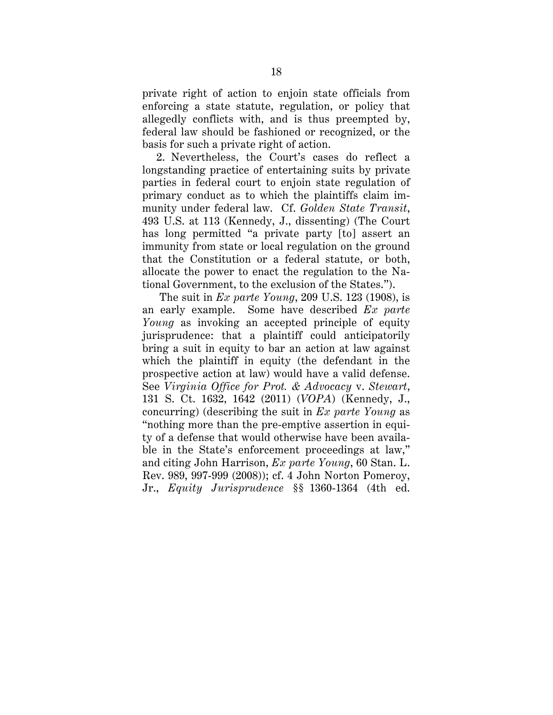private right of action to enjoin state officials from enforcing a state statute, regulation, or policy that allegedly conflicts with, and is thus preempted by, federal law should be fashioned or recognized, or the basis for such a private right of action.

2. Nevertheless, the Court's cases do reflect a longstanding practice of entertaining suits by private parties in federal court to enjoin state regulation of primary conduct as to which the plaintiffs claim immunity under federal law. Cf. *Golden State Transit*, 493 U.S. at 113 (Kennedy, J., dissenting) (The Court has long permitted "a private party [to] assert an immunity from state or local regulation on the ground that the Constitution or a federal statute, or both, allocate the power to enact the regulation to the National Government, to the exclusion of the States.").

The suit in *Ex parte Young*, 209 U.S. 123 (1908), is an early example. Some have described *Ex parte Young* as invoking an accepted principle of equity jurisprudence: that a plaintiff could anticipatorily bring a suit in equity to bar an action at law against which the plaintiff in equity (the defendant in the prospective action at law) would have a valid defense. See *Virginia Office for Prot. & Advocacy* v. *Stewart*, 131 S. Ct. 1632, 1642 (2011) (*VOPA*) (Kennedy, J., concurring) (describing the suit in *Ex parte Young* as "nothing more than the pre-emptive assertion in equity of a defense that would otherwise have been available in the State's enforcement proceedings at law," and citing John Harrison, *Ex parte Young*, 60 Stan. L. Rev. 989, 997-999 (2008)); cf. 4 John Norton Pomeroy, Jr., *Equity Jurisprudence* §§ 1360-1364 (4th ed.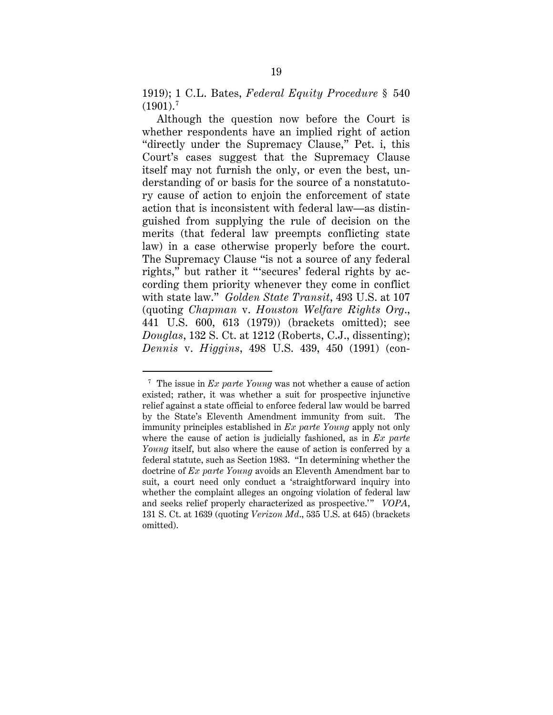1919); 1 C.L. Bates, *Federal Equity Procedure* § 540  $(1901).<sup>7</sup>$  $(1901).<sup>7</sup>$  $(1901).<sup>7</sup>$ 

Although the question now before the Court is whether respondents have an implied right of action "directly under the Supremacy Clause," Pet. i, this Court's cases suggest that the Supremacy Clause itself may not furnish the only, or even the best, understanding of or basis for the source of a nonstatutory cause of action to enjoin the enforcement of state action that is inconsistent with federal law—as distinguished from supplying the rule of decision on the merits (that federal law preempts conflicting state law) in a case otherwise properly before the court. The Supremacy Clause "is not a source of any federal rights," but rather it "'secures' federal rights by according them priority whenever they come in conflict with state law." *Golden State Transit*, 493 U.S. at 107 (quoting *Chapman* v. *Houston Welfare Rights Org*., 441 U.S. 600, 613 (1979)) (brackets omitted); see *Douglas*, 132 S. Ct. at 1212 (Roberts, C.J., dissenting); *Dennis* v. *Higgins*, 498 U.S. 439, 450 (1991) (con-

<span id="page-27-0"></span> <sup>7</sup> The issue in *Ex parte Young* was not whether a cause of action existed; rather, it was whether a suit for prospective injunctive relief against a state official to enforce federal law would be barred by the State's Eleventh Amendment immunity from suit. The immunity principles established in *Ex parte Young* apply not only where the cause of action is judicially fashioned, as in *Ex parte Young* itself, but also where the cause of action is conferred by a federal statute, such as Section 1983. "In determining whether the doctrine of *Ex parte Young* avoids an Eleventh Amendment bar to suit, a court need only conduct a 'straightforward inquiry into whether the complaint alleges an ongoing violation of federal law and seeks relief properly characterized as prospective.'" *VOPA*, 131 S. Ct. at 1639 (quoting *Verizon Md*., 535 U.S. at 645) (brackets omitted).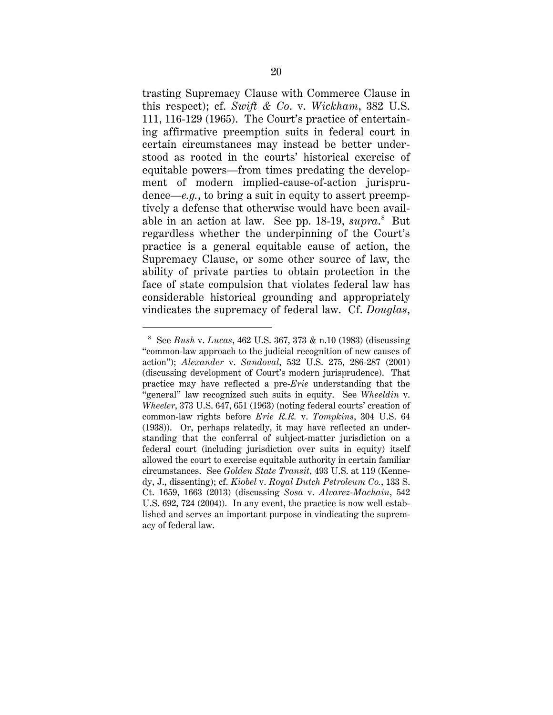trasting Supremacy Clause with Commerce Clause in this respect); cf. *Swift & Co*. v. *Wickham*, 382 U.S. 111, 116-129 (1965). The Court's practice of entertaining affirmative preemption suits in federal court in certain circumstances may instead be better understood as rooted in the courts' historical exercise of equitable powers—from times predating the development of modern implied-cause-of-action jurisprudence—*e.g.*, to bring a suit in equity to assert preemptively a defense that otherwise would have been avail-able in an action at law. See pp. 1[8](#page-28-0)-19,  $\textit{supra.}^8$  But regardless whether the underpinning of the Court's practice is a general equitable cause of action, the Supremacy Clause, or some other source of law, the ability of private parties to obtain protection in the face of state compulsion that violates federal law has considerable historical grounding and appropriately vindicates the supremacy of federal law. Cf. *Douglas*,

<span id="page-28-0"></span> <sup>8</sup> See *Bush* v. *Lucas*, 462 U.S. 367, 373 & n.10 (1983) (discussing "common-law approach to the judicial recognition of new causes of action"); *Alexander* v. *Sandoval*, 532 U.S. 275, 286-287 (2001) (discussing development of Court's modern jurisprudence). That practice may have reflected a pre-*Erie* understanding that the "general" law recognized such suits in equity. See *Wheeldin* v. *Wheeler*, 373 U.S. 647, 651 (1963) (noting federal courts' creation of common-law rights before *Erie R.R.* v. *Tompkins*, 304 U.S. 64 (1938)). Or, perhaps relatedly, it may have reflected an understanding that the conferral of subject-matter jurisdiction on a federal court (including jurisdiction over suits in equity) itself allowed the court to exercise equitable authority in certain familiar circumstances. See *Golden State Transit*, 493 U.S. at 119 (Kennedy, J., dissenting); cf. *Kiobel* v. *Royal Dutch Petroleum Co.*, 133 S. Ct. 1659, 1663 (2013) (discussing *Sosa* v. *Alvarez-Machain*, 542 U.S. 692, 724 (2004)). In any event, the practice is now well established and serves an important purpose in vindicating the supremacy of federal law.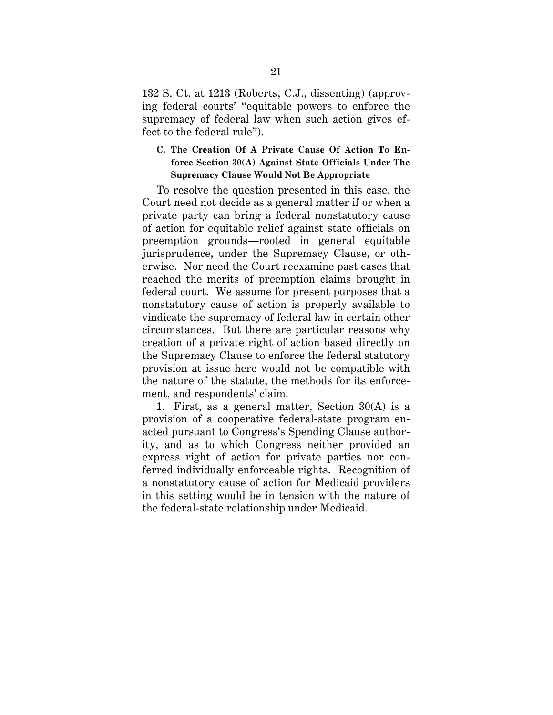132 S. Ct. at 1213 (Roberts, C.J., dissenting) (approving federal courts' "equitable powers to enforce the supremacy of federal law when such action gives effect to the federal rule").

### **C. The Creation Of A Private Cause Of Action To Enforce Section 30(A) Against State Officials Under The Supremacy Clause Would Not Be Appropriate**

To resolve the question presented in this case, the Court need not decide as a general matter if or when a private party can bring a federal nonstatutory cause of action for equitable relief against state officials on preemption grounds—rooted in general equitable jurisprudence, under the Supremacy Clause, or otherwise. Nor need the Court reexamine past cases that reached the merits of preemption claims brought in federal court. We assume for present purposes that a nonstatutory cause of action is properly available to vindicate the supremacy of federal law in certain other circumstances. But there are particular reasons why creation of a private right of action based directly on the Supremacy Clause to enforce the federal statutory provision at issue here would not be compatible with the nature of the statute, the methods for its enforcement, and respondents' claim.

1. First, as a general matter, Section 30(A) is a provision of a cooperative federal-state program enacted pursuant to Congress's Spending Clause authority, and as to which Congress neither provided an express right of action for private parties nor conferred individually enforceable rights. Recognition of a nonstatutory cause of action for Medicaid providers in this setting would be in tension with the nature of the federal-state relationship under Medicaid.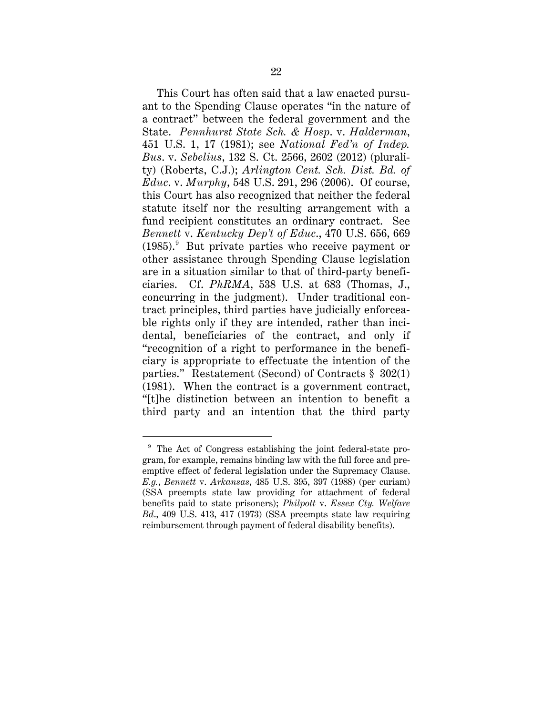This Court has often said that a law enacted pursuant to the Spending Clause operates "in the nature of a contract" between the federal government and the State. *Pennhurst State Sch. & Hosp*. v. *Halderman*, 451 U.S. 1, 17 (1981); see *National Fed'n of Indep. Bus*. v. *Sebelius*, 132 S. Ct. 2566, 2602 (2012) (plurality) (Roberts, C.J.); *Arlington Cent. Sch. Dist. Bd. of Educ*. v. *Murphy*, 548 U.S. 291, 296 (2006). Of course, this Court has also recognized that neither the federal statute itself nor the resulting arrangement with a fund recipient constitutes an ordinary contract. See *Bennett* v. *Kentucky Dep't of Educ*., 470 U.S. 656, 669 (1985).[9](#page-30-0) But private parties who receive payment or other assistance through Spending Clause legislation are in a situation similar to that of third-party beneficiaries. Cf. *PhRMA*, 538 U.S. at 683 (Thomas, J., concurring in the judgment). Under traditional contract principles, third parties have judicially enforceable rights only if they are intended, rather than incidental, beneficiaries of the contract, and only if "recognition of a right to performance in the beneficiary is appropriate to effectuate the intention of the parties." Restatement (Second) of Contracts § 302(1) (1981). When the contract is a government contract, "[t]he distinction between an intention to benefit a third party and an intention that the third party

<span id="page-30-0"></span><sup>&</sup>lt;sup>9</sup> The Act of Congress establishing the joint federal-state program, for example, remains binding law with the full force and preemptive effect of federal legislation under the Supremacy Clause. *E.g.*, *Bennett* v. *Arkansas*, 485 U.S. 395, 397 (1988) (per curiam) (SSA preempts state law providing for attachment of federal benefits paid to state prisoners); *Philpott* v. *Essex Cty. Welfare Bd*., 409 U.S. 413, 417 (1973) (SSA preempts state law requiring reimbursement through payment of federal disability benefits).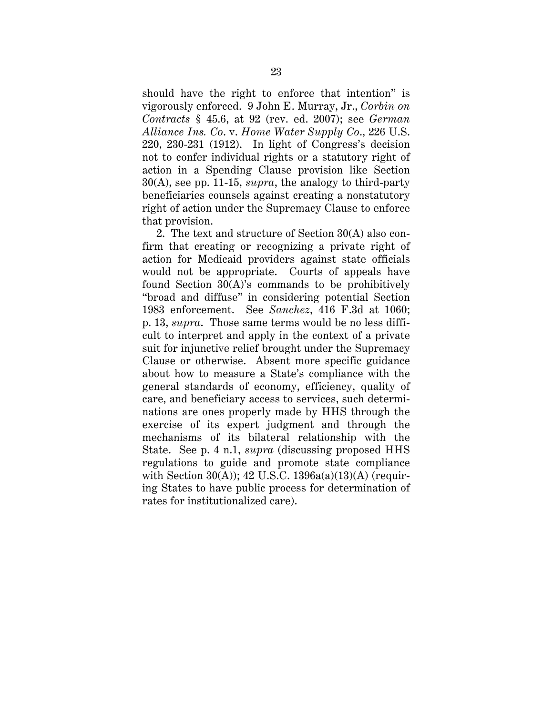should have the right to enforce that intention" is vigorously enforced. 9 John E. Murray, Jr., *Corbin on Contracts* § 45.6, at 92 (rev. ed. 2007); see *German Alliance Ins. Co*. v. *Home Water Supply Co*., 226 U.S. 220, 230-231 (1912). In light of Congress's decision not to confer individual rights or a statutory right of action in a Spending Clause provision like Section 30(A), see pp. 11-15, *supra*, the analogy to third-party beneficiaries counsels against creating a nonstatutory right of action under the Supremacy Clause to enforce that provision.

2. The text and structure of Section 30(A) also confirm that creating or recognizing a private right of action for Medicaid providers against state officials would not be appropriate. Courts of appeals have found Section 30(A)'s commands to be prohibitively "broad and diffuse" in considering potential Section 1983 enforcement. See *Sanchez*, 416 F.3d at 1060; p. 13, *supra*. Those same terms would be no less difficult to interpret and apply in the context of a private suit for injunctive relief brought under the Supremacy Clause or otherwise. Absent more specific guidance about how to measure a State's compliance with the general standards of economy, efficiency, quality of care, and beneficiary access to services, such determinations are ones properly made by HHS through the exercise of its expert judgment and through the mechanisms of its bilateral relationship with the State. See p. 4 n.1, *supra* (discussing proposed HHS regulations to guide and promote state compliance with Section  $30(A)$ ; 42 U.S.C.  $1396a(a)(13)(A)$  (requiring States to have public process for determination of rates for institutionalized care).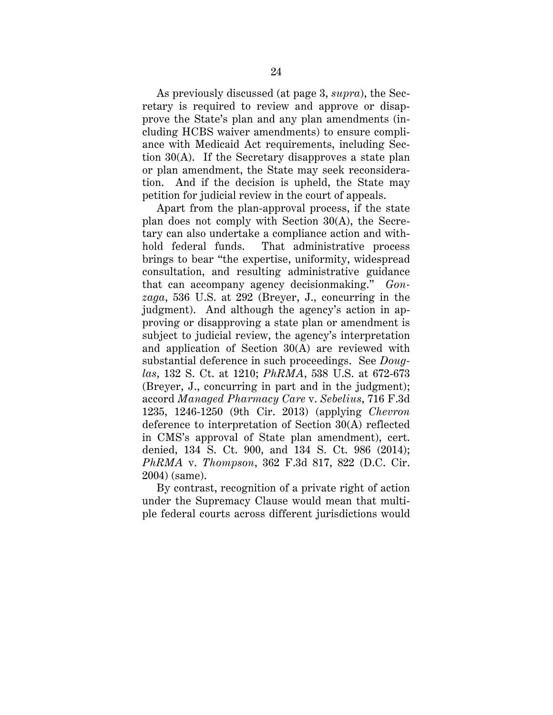As previously discussed (at page 3, *supra*), the Secretary is required to review and approve or disapprove the State's plan and any plan amendments (including HCBS waiver amendments) to ensure compliance with Medicaid Act requirements, including Section 30(A). If the Secretary disapproves a state plan or plan amendment, the State may seek reconsideration. And if the decision is upheld, the State may petition for judicial review in the court of appeals.

Apart from the plan-approval process, if the state plan does not comply with Section 30(A), the Secretary can also undertake a compliance action and withhold federal funds. That administrative process brings to bear "the expertise, uniformity, widespread consultation, and resulting administrative guidance that can accompany agency decisionmaking." *Gonzaga*, 536 U.S. at 292 (Breyer, J., concurring in the judgment). And although the agency's action in approving or disapproving a state plan or amendment is subject to judicial review, the agency's interpretation and application of Section 30(A) are reviewed with substantial deference in such proceedings. See *Douglas*, 132 S. Ct. at 1210; *PhRMA*, 538 U.S. at 672-673 (Breyer, J., concurring in part and in the judgment); accord *Managed Pharmacy Care* v. *Sebelius*, 716 F.3d 1235, 1246-1250 (9th Cir. 2013) (applying *Chevron* deference to interpretation of Section 30(A) reflected in CMS's approval of State plan amendment), cert. denied, 134 S. Ct. 900, and 134 S. Ct. 986 (2014); *PhRMA* v. *Thompson*, 362 F.3d 817, 822 (D.C. Cir. 2004) (same).

By contrast, recognition of a private right of action under the Supremacy Clause would mean that multiple federal courts across different jurisdictions would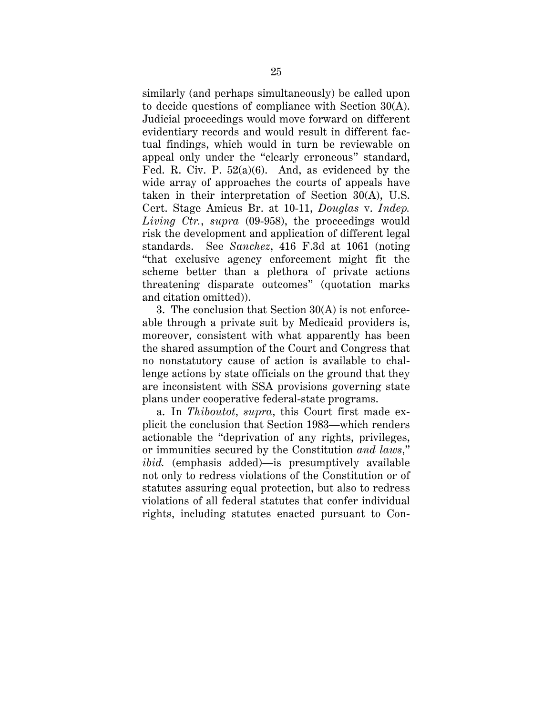similarly (and perhaps simultaneously) be called upon to decide questions of compliance with Section 30(A). Judicial proceedings would move forward on different evidentiary records and would result in different factual findings, which would in turn be reviewable on appeal only under the "clearly erroneous" standard, Fed. R. Civ. P. 52(a)(6). And, as evidenced by the wide array of approaches the courts of appeals have taken in their interpretation of Section 30(A), U.S. Cert. Stage Amicus Br. at 10-11, *Douglas* v. *Indep. Living Ctr.*, *supra* (09-958), the proceedings would risk the development and application of different legal standards. See *Sanchez*, 416 F.3d at 1061 (noting "that exclusive agency enforcement might fit the scheme better than a plethora of private actions threatening disparate outcomes" (quotation marks and citation omitted)).

3. The conclusion that Section 30(A) is not enforceable through a private suit by Medicaid providers is, moreover, consistent with what apparently has been the shared assumption of the Court and Congress that no nonstatutory cause of action is available to challenge actions by state officials on the ground that they are inconsistent with SSA provisions governing state plans under cooperative federal-state programs.

a. In *Thiboutot*, *supra*, this Court first made explicit the conclusion that Section 1983—which renders actionable the "deprivation of any rights, privileges, or immunities secured by the Constitution *and laws*," *ibid.* (emphasis added)—is presumptively available not only to redress violations of the Constitution or of statutes assuring equal protection, but also to redress violations of all federal statutes that confer individual rights, including statutes enacted pursuant to Con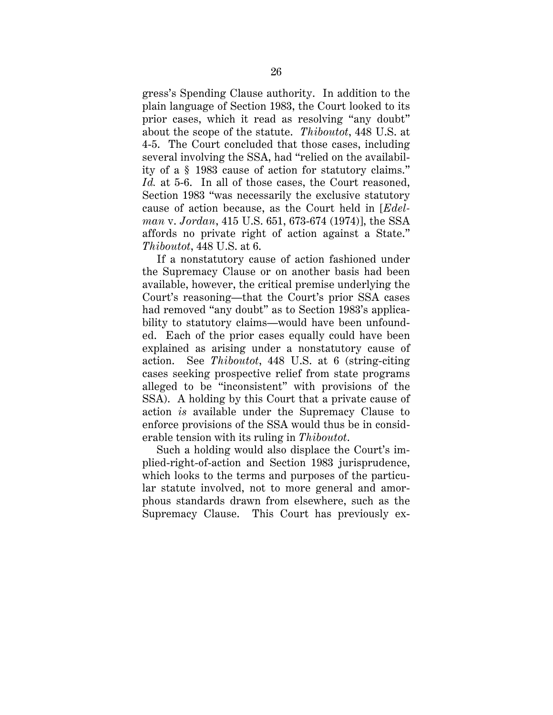gress's Spending Clause authority. In addition to the plain language of Section 1983, the Court looked to its prior cases, which it read as resolving "any doubt" about the scope of the statute. *Thiboutot*, 448 U.S. at 4-5. The Court concluded that those cases, including several involving the SSA, had "relied on the availability of a § 1983 cause of action for statutory claims." Id. at 5-6. In all of those cases, the Court reasoned, Section 1983 "was necessarily the exclusive statutory cause of action because, as the Court held in [*Edelman* v. *Jordan*, 415 U.S. 651, 673-674 (1974)], the SSA affords no private right of action against a State." *Thiboutot*, 448 U.S. at 6.

If a nonstatutory cause of action fashioned under the Supremacy Clause or on another basis had been available, however, the critical premise underlying the Court's reasoning—that the Court's prior SSA cases had removed "any doubt" as to Section 1983's applicability to statutory claims—would have been unfounded. Each of the prior cases equally could have been explained as arising under a nonstatutory cause of action. See *Thiboutot*, 448 U.S. at 6 (string-citing cases seeking prospective relief from state programs alleged to be "inconsistent" with provisions of the SSA). A holding by this Court that a private cause of action *is* available under the Supremacy Clause to enforce provisions of the SSA would thus be in considerable tension with its ruling in *Thiboutot*.

Such a holding would also displace the Court's implied-right-of-action and Section 1983 jurisprudence, which looks to the terms and purposes of the particular statute involved, not to more general and amorphous standards drawn from elsewhere, such as the Supremacy Clause. This Court has previously ex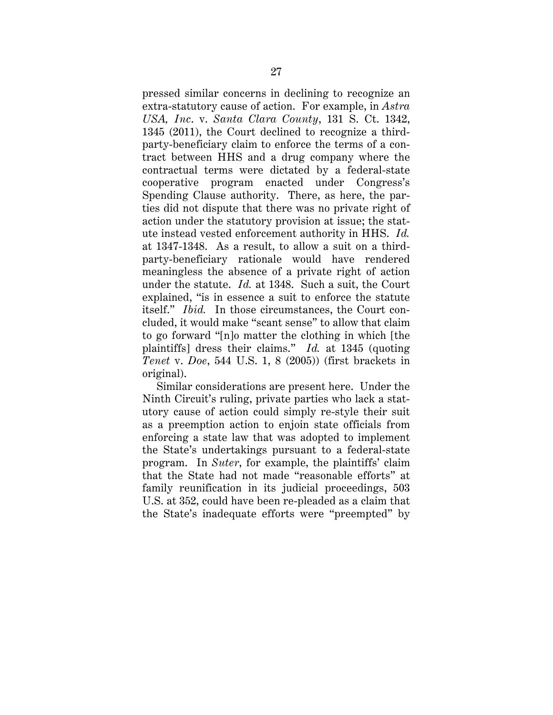pressed similar concerns in declining to recognize an extra-statutory cause of action. For example, in *Astra USA, Inc*. v. *Santa Clara County*, 131 S. Ct. 1342, 1345 (2011), the Court declined to recognize a thirdparty-beneficiary claim to enforce the terms of a contract between HHS and a drug company where the contractual terms were dictated by a federal-state cooperative program enacted under Congress's Spending Clause authority. There, as here, the parties did not dispute that there was no private right of action under the statutory provision at issue; the statute instead vested enforcement authority in HHS. *Id.* at 1347-1348. As a result, to allow a suit on a thirdparty-beneficiary rationale would have rendered meaningless the absence of a private right of action under the statute. *Id.* at 1348. Such a suit, the Court explained, "is in essence a suit to enforce the statute itself." *Ibid.* In those circumstances, the Court concluded, it would make "scant sense" to allow that claim to go forward "[n]o matter the clothing in which [the plaintiffs] dress their claims." *Id.* at 1345 (quoting *Tenet* v. *Doe*, 544 U.S. 1, 8 (2005)) (first brackets in original).

Similar considerations are present here. Under the Ninth Circuit's ruling, private parties who lack a statutory cause of action could simply re-style their suit as a preemption action to enjoin state officials from enforcing a state law that was adopted to implement the State's undertakings pursuant to a federal-state program. In *Suter*, for example, the plaintiffs' claim that the State had not made "reasonable efforts" at family reunification in its judicial proceedings, 503 U.S. at 352, could have been re-pleaded as a claim that the State's inadequate efforts were "preempted" by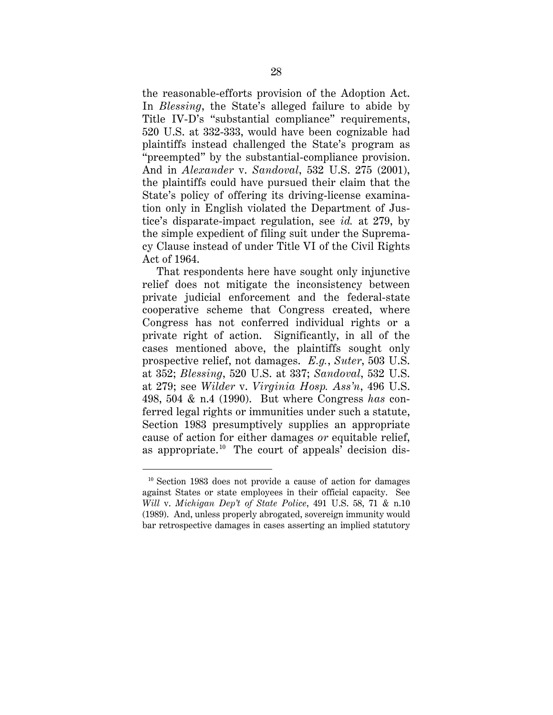the reasonable-efforts provision of the Adoption Act. In *Blessing*, the State's alleged failure to abide by Title IV-D's "substantial compliance" requirements, 520 U.S. at 332-333, would have been cognizable had plaintiffs instead challenged the State's program as "preempted" by the substantial-compliance provision. And in *Alexander* v. *Sandoval*, 532 U.S. 275 (2001), the plaintiffs could have pursued their claim that the State's policy of offering its driving-license examination only in English violated the Department of Justice's disparate-impact regulation, see *id.* at 279, by the simple expedient of filing suit under the Supremacy Clause instead of under Title VI of the Civil Rights Act of 1964.

That respondents here have sought only injunctive relief does not mitigate the inconsistency between private judicial enforcement and the federal-state cooperative scheme that Congress created, where Congress has not conferred individual rights or a private right of action. Significantly, in all of the cases mentioned above, the plaintiffs sought only prospective relief, not damages. *E.g.*, *Suter*, 503 U.S. at 352; *Blessing*, 520 U.S. at 337; *Sandoval*, 532 U.S. at 279; see *Wilder* v. *Virginia Hosp. Ass'n*, 496 U.S. 498, 504 & n.4 (1990). But where Congress *has* conferred legal rights or immunities under such a statute, Section 1983 presumptively supplies an appropriate cause of action for either damages *or* equitable relief, as appropriate.<sup>[10](#page-36-0)</sup> The court of appeals' decision dis-

<span id="page-36-0"></span> $10$  Section 1983 does not provide a cause of action for damages against States or state employees in their official capacity. See *Will* v. *Michigan Dep't of State Police*, 491 U.S. 58, 71 & n.10 (1989). And, unless properly abrogated, sovereign immunity would bar retrospective damages in cases asserting an implied statutory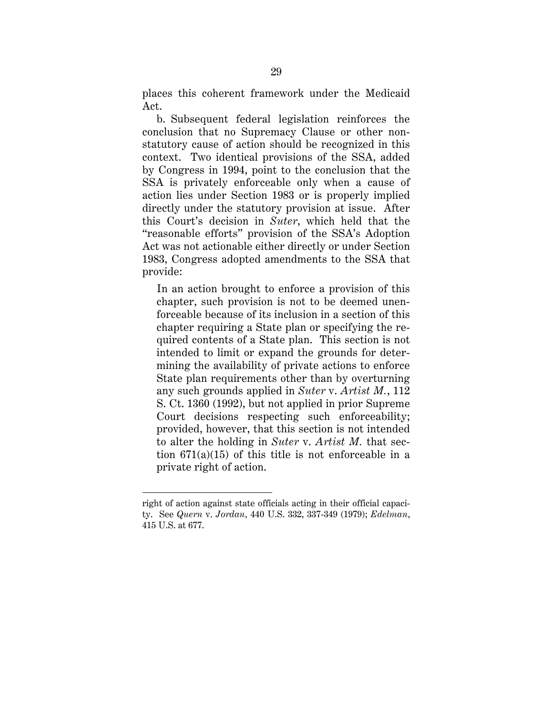places this coherent framework under the Medicaid Act.

b. Subsequent federal legislation reinforces the conclusion that no Supremacy Clause or other nonstatutory cause of action should be recognized in this context. Two identical provisions of the SSA, added by Congress in 1994, point to the conclusion that the SSA is privately enforceable only when a cause of action lies under Section 1983 or is properly implied directly under the statutory provision at issue. After this Court's decision in *Suter*, which held that the "reasonable efforts" provision of the SSA's Adoption Act was not actionable either directly or under Section 1983, Congress adopted amendments to the SSA that provide:

In an action brought to enforce a provision of this chapter, such provision is not to be deemed unenforceable because of its inclusion in a section of this chapter requiring a State plan or specifying the required contents of a State plan. This section is not intended to limit or expand the grounds for determining the availability of private actions to enforce State plan requirements other than by overturning any such grounds applied in *Suter* v. *Artist M.*, 112 S. Ct. 1360 (1992), but not applied in prior Supreme Court decisions respecting such enforceability; provided, however, that this section is not intended to alter the holding in *Suter* v. *Artist M.* that section 671(a)(15) of this title is not enforceable in a private right of action.

 $\ddot{\phantom{a}}$ 

right of action against state officials acting in their official capacity. See *Quern* v. *Jordan*, 440 U.S. 332, 337-349 (1979); *Edelman*, 415 U.S. at 677.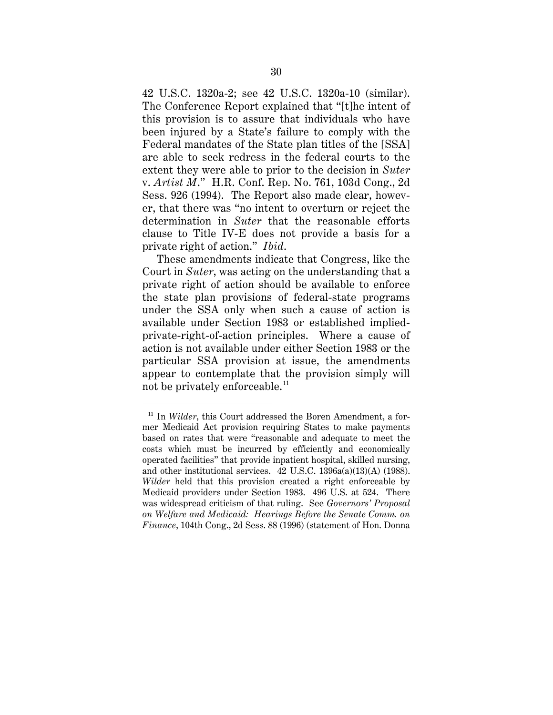42 U.S.C. 1320a-2; see 42 U.S.C. 1320a-10 (similar). The Conference Report explained that "[t]he intent of this provision is to assure that individuals who have been injured by a State's failure to comply with the Federal mandates of the State plan titles of the [SSA] are able to seek redress in the federal courts to the extent they were able to prior to the decision in *Suter* v. *Artist M*." H.R. Conf. Rep. No. 761, 103d Cong., 2d Sess. 926 (1994). The Report also made clear, however, that there was "no intent to overturn or reject the determination in *Suter* that the reasonable efforts clause to Title IV-E does not provide a basis for a private right of action." *Ibid*.

These amendments indicate that Congress, like the Court in *Suter*, was acting on the understanding that a private right of action should be available to enforce the state plan provisions of federal-state programs under the SSA only when such a cause of action is available under Section 1983 or established impliedprivate-right-of-action principles. Where a cause of action is not available under either Section 1983 or the particular SSA provision at issue, the amendments appear to contemplate that the provision simply will not be privately enforceable.<sup>[11](#page-38-0)</sup>

<span id="page-38-0"></span><sup>&</sup>lt;sup>11</sup> In *Wilder*, this Court addressed the Boren Amendment, a former Medicaid Act provision requiring States to make payments based on rates that were "reasonable and adequate to meet the costs which must be incurred by efficiently and economically operated facilities" that provide inpatient hospital, skilled nursing, and other institutional services. 42 U.S.C. 1396a(a)(13)(A) (1988). *Wilder* held that this provision created a right enforceable by Medicaid providers under Section 1983. 496 U.S. at 524. There was widespread criticism of that ruling. See *Governors' Proposal on Welfare and Medicaid: Hearings Before the Senate Comm. on Finance*, 104th Cong., 2d Sess. 88 (1996) (statement of Hon. Donna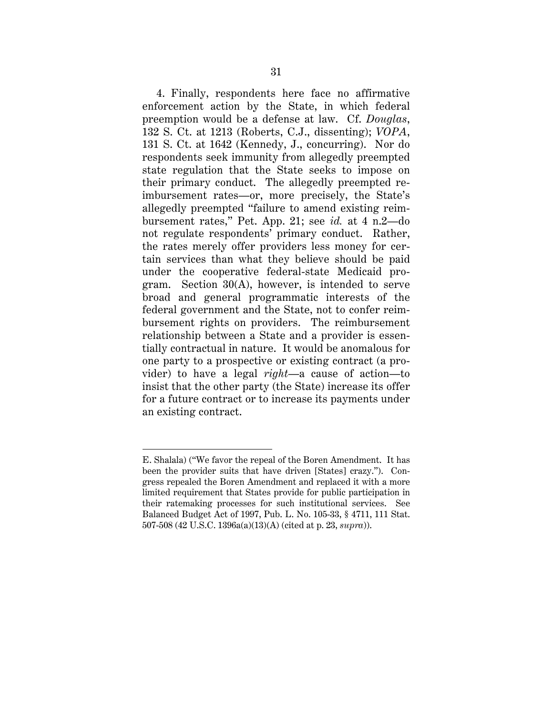4. Finally, respondents here face no affirmative enforcement action by the State, in which federal preemption would be a defense at law. Cf. *Douglas*, 132 S. Ct. at 1213 (Roberts, C.J., dissenting); *VOPA*, 131 S. Ct. at 1642 (Kennedy, J., concurring). Nor do respondents seek immunity from allegedly preempted state regulation that the State seeks to impose on their primary conduct. The allegedly preempted reimbursement rates—or, more precisely, the State's allegedly preempted "failure to amend existing reimbursement rates," Pet. App. 21; see *id.* at 4 n.2—do not regulate respondents' primary conduct. Rather, the rates merely offer providers less money for certain services than what they believe should be paid under the cooperative federal-state Medicaid program. Section 30(A), however, is intended to serve broad and general programmatic interests of the federal government and the State, not to confer reimbursement rights on providers. The reimbursement relationship between a State and a provider is essentially contractual in nature. It would be anomalous for one party to a prospective or existing contract (a provider) to have a legal *right*—a cause of action—to insist that the other party (the State) increase its offer for a future contract or to increase its payments under an existing contract.

 $\overline{a}$ 

E. Shalala) ("We favor the repeal of the Boren Amendment. It has been the provider suits that have driven [States] crazy."). Congress repealed the Boren Amendment and replaced it with a more limited requirement that States provide for public participation in their ratemaking processes for such institutional services. See Balanced Budget Act of 1997, Pub. L. No. 105-33, § 4711, 111 Stat. 507-508 (42 U.S.C. 1396a(a)(13)(A) (cited at p. 23, *supra*)).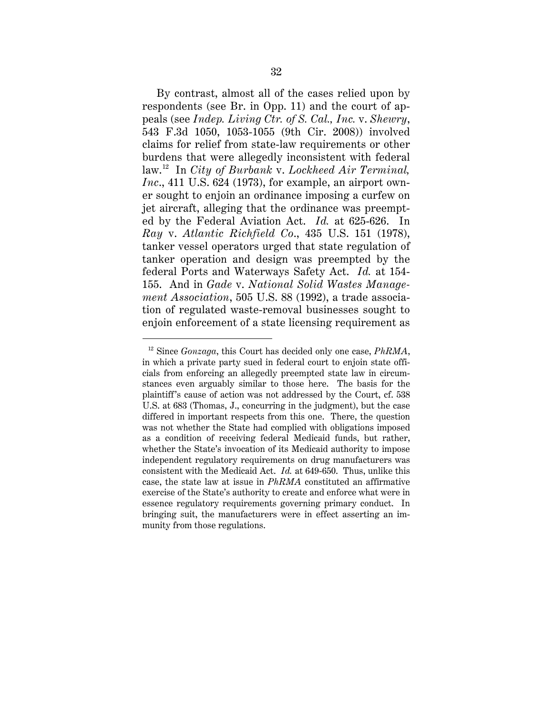By contrast, almost all of the cases relied upon by respondents (see Br. in Opp. 11) and the court of appeals (see *Indep. Living Ctr. of S. Cal., Inc.* v. *Shewry*, 543 F.3d 1050, 1053-1055 (9th Cir. 2008)) involved claims for relief from state-law requirements or other burdens that were allegedly inconsistent with federal law.[12](#page-40-0) In *City of Burbank* v. *Lockheed Air Terminal, Inc*., 411 U.S. 624 (1973), for example, an airport owner sought to enjoin an ordinance imposing a curfew on jet aircraft, alleging that the ordinance was preempted by the Federal Aviation Act. *Id.* at 625-626. In *Ray* v. *Atlantic Richfield Co*., 435 U.S. 151 (1978), tanker vessel operators urged that state regulation of tanker operation and design was preempted by the federal Ports and Waterways Safety Act. *Id.* at 154- 155. And in *Gade* v. *National Solid Wastes Management Association*, 505 U.S. 88 (1992), a trade association of regulated waste-removal businesses sought to enjoin enforcement of a state licensing requirement as

<span id="page-40-0"></span> <sup>12</sup> Since *Gonzaga*, this Court has decided only one case, *PhRMA*, in which a private party sued in federal court to enjoin state officials from enforcing an allegedly preempted state law in circumstances even arguably similar to those here. The basis for the plaintiff's cause of action was not addressed by the Court, cf. 538 U.S. at 683 (Thomas, J., concurring in the judgment), but the case differed in important respects from this one. There, the question was not whether the State had complied with obligations imposed as a condition of receiving federal Medicaid funds, but rather, whether the State's invocation of its Medicaid authority to impose independent regulatory requirements on drug manufacturers was consistent with the Medicaid Act. *Id.* at 649-650. Thus, unlike this case, the state law at issue in *PhRMA* constituted an affirmative exercise of the State's authority to create and enforce what were in essence regulatory requirements governing primary conduct. In bringing suit, the manufacturers were in effect asserting an immunity from those regulations.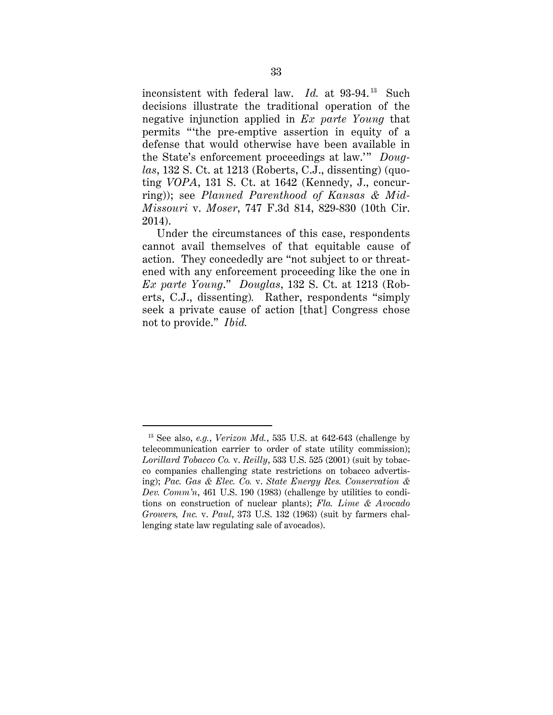inconsistent with federal law. *Id.* at 93-94.<sup>[13](#page-41-0)</sup> Such decisions illustrate the traditional operation of the negative injunction applied in *Ex parte Young* that permits "'the pre-emptive assertion in equity of a defense that would otherwise have been available in the State's enforcement proceedings at law.'" *Douglas*, 132 S. Ct. at 1213 (Roberts, C.J., dissenting) (quoting *VOPA*, 131 S. Ct. at 1642 (Kennedy, J., concurring)); see *Planned Parenthood of Kansas & Mid-Missouri* v. *Moser*, 747 F.3d 814, 829-830 (10th Cir. 2014).

Under the circumstances of this case, respondents cannot avail themselves of that equitable cause of action. They concededly are "not subject to or threatened with any enforcement proceeding like the one in *Ex parte Young*." *Douglas*, 132 S. Ct. at 1213 (Roberts, C.J., dissenting)*.* Rather, respondents "simply seek a private cause of action [that] Congress chose not to provide." *Ibid.*

<span id="page-41-0"></span> <sup>13</sup> See also, *e.g.*, *Verizon Md.*, 535 U.S. at 642-643 (challenge by telecommunication carrier to order of state utility commission); *Lorillard Tobacco Co.* v. *Reilly*, 533 U.S. 525 (2001) (suit by tobacco companies challenging state restrictions on tobacco advertising); *Pac. Gas & Elec. Co.* v. *State Energy Res. Conservation & Dev. Comm'n*, 461 U.S. 190 (1983) (challenge by utilities to conditions on construction of nuclear plants); *Fla. Lime & Avocado Growers, Inc.* v. *Paul*, 373 U.S. 132 (1963) (suit by farmers challenging state law regulating sale of avocados).